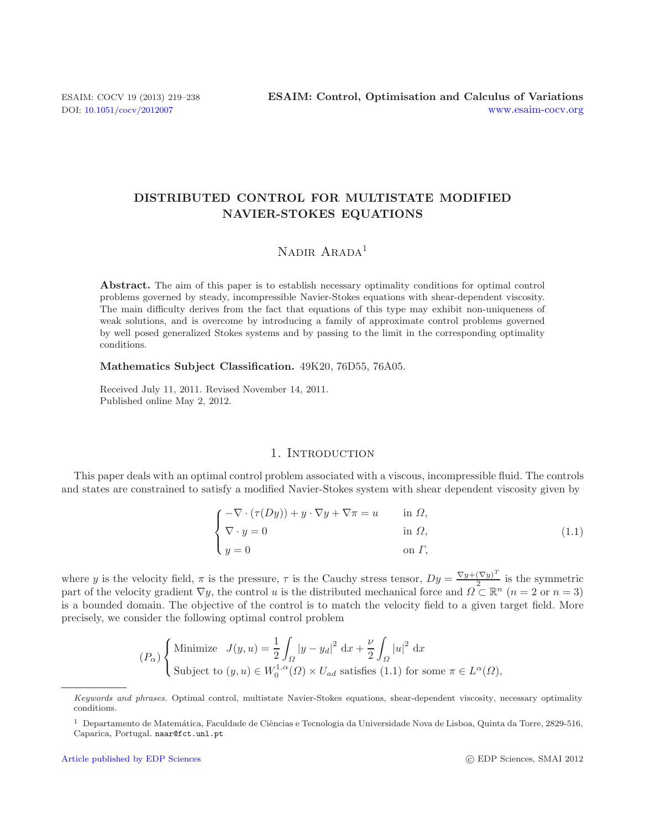# **DISTRIBUTED CONTROL FOR MULTISTATE MODIFIED NAVIER-STOKES EQUATIONS**

# <span id="page-0-0"></span>NADIR ARADA<sup>1</sup>

Abstract. The aim of this paper is to establish necessary optimality conditions for optimal control problems governed by steady, incompressible Navier-Stokes equations with shear-dependent viscosity. The main difficulty derives from the fact that equations of this type may exhibit non-uniqueness of weak solutions, and is overcome by introducing a family of approximate control problems governed by well posed generalized Stokes systems and by passing to the limit in the corresponding optimality conditions.

**Mathematics Subject Classification.** 49K20, 76D55, 76A05.

Received July 11, 2011. Revised November 14, 2011. Published online May 2, 2012.

### 1. INTRODUCTION

This paper deals with an optimal control problem associated with a viscous, incompressible fluid. The controls and states are constrained to satisfy a modified Navier-Stokes system with shear dependent viscosity given by

$$
\begin{cases}\n-\nabla \cdot (\tau(Dy)) + y \cdot \nabla y + \nabla \pi = u & \text{in } \Omega, \\
\nabla \cdot y = 0 & \text{in } \Omega, \\
y = 0 & \text{on } \Gamma,\n\end{cases}
$$
\n(1.1)

where y is the velocity field,  $\pi$  is the pressure,  $\tau$  is the Cauchy stress tensor,  $Dy = \frac{\nabla y + (\nabla y)^T}{2}$  is the symmetric part of the velocity gradient  $\nabla y$ , the control y is the distributed mechanical force and part of the velocity gradient  $\nabla y$ , the control u is the distributed mechanical force and  $\Omega \subset \mathbb{R}^n$  ( $n = 2$  or  $n = 3$ )<br>is a bounded domain. The objective of the control is to match the velocity field to a given tar is a bounded domain. The objective of the control is to match the velocity field to a given target field. More precisely, we consider the following optimal control problem

$$
(P_{\alpha})\begin{cases} \text{Minimize} & J(y, u) = \frac{1}{2} \int_{\Omega} |y - y_d|^2 \, \mathrm{d}x + \frac{\nu}{2} \int_{\Omega} |u|^2 \, \mathrm{d}x \\ \text{Subject to } (y, u) \in W_0^{1, \alpha}(\Omega) \times U_{ad} \text{ satisfies (1.1) for some } \pi \in L^{\alpha}(\Omega), \end{cases}
$$

Keywords and phrases. Optimal control, multistate Navier-Stokes equations, shear-dependent viscosity, necessary optimality conditions.

 $1$  Departamento de Matemática, Faculdade de Ciências e Tecnologia da Universidade Nova de Lisboa, Quinta da Torre, 2829-516, Caparica, Portugal. naar@fct.unl.pt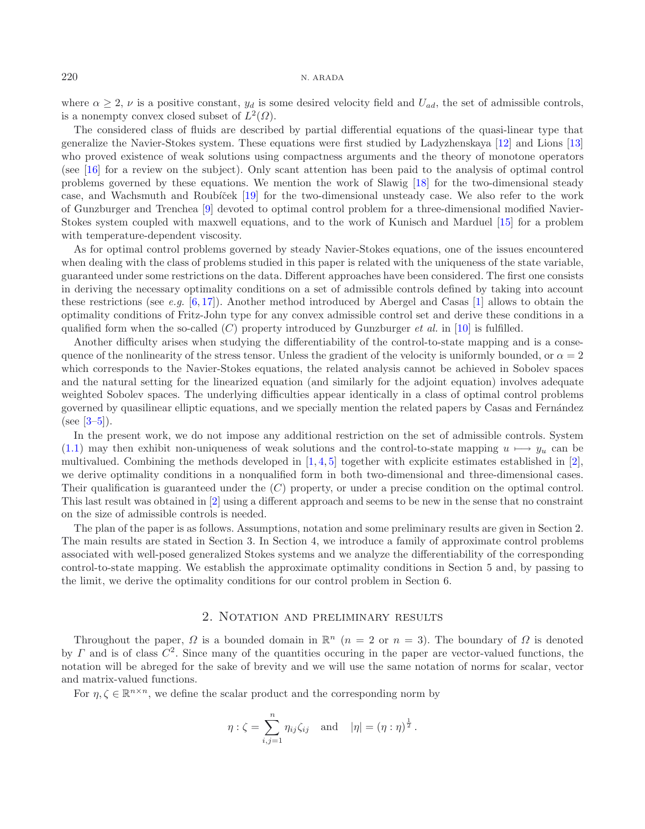where  $\alpha \geq 2$ ,  $\nu$  is a positive constant,  $y_d$  is some desired velocity field and  $U_{ad}$ , the set of admissible controls, is a nonempty convex closed subset of  $L^2(\Omega)$ .

The considered class of fluids are described by partial differential equations of the quasi-linear type that generalize the Navier-Stokes system. These equations were first studied by Ladyzhenskaya [\[12\]](#page-19-0) and Lions [\[13\]](#page-19-1) who proved existence of weak solutions using compactness arguments and the theory of monotone operators (see [\[16](#page-19-2)] for a review on the subject). Only scant attention has been paid to the analysis of optimal control problems governed by these equations. We mention the work of Slawig [\[18\]](#page-19-3) for the two-dimensional steady case, and Wachsmuth and Roubíček [\[19](#page-19-4)] for the two-dimensional unsteady case. We also refer to the work of Gunzburger and Trenchea [\[9](#page-19-5)] devoted to optimal control problem for a three-dimensional modified Navier-Stokes system coupled with maxwell equations, and to the work of Kunisch and Marduel [\[15](#page-19-6)] for a problem with temperature-dependent viscosity.

As for optimal control problems governed by steady Navier-Stokes equations, one of the issues encountered when dealing with the class of problems studied in this paper is related with the uniqueness of the state variable, guaranteed under some restrictions on the data. Different approaches have been considered. The first one consists in deriving the necessary optimality conditions on a set of admissible controls defined by taking into account these restrictions (see *e.g.* [\[6,](#page-19-7) [17](#page-19-8)]). Another method introduced by Abergel and Casas [\[1](#page-19-9)] allows to obtain the optimality conditions of Fritz-John type for any convex admissible control set and derive these conditions in a qualified form when the so-called  $(C)$  property introduced by Gunzburger *et al.* in [\[10](#page-19-10)] is fulfilled.

Another difficulty arises when studying the differentiability of the control-to-state mapping and is a consequence of the nonlinearity of the stress tensor. Unless the gradient of the velocity is uniformly bounded, or  $\alpha = 2$ which corresponds to the Navier-Stokes equations, the related analysis cannot be achieved in Sobolev spaces and the natural setting for the linearized equation (and similarly for the adjoint equation) involves adequate weighted Sobolev spaces. The underlying difficulties appear identically in a class of optimal control problems governed by quasilinear elliptic equations, and we specially mention the related papers by Casas and Fernández (see  $[3-5]$  $[3-5]$ ).

In the present work, we do not impose any additional restriction on the set of admissible controls. System [\(1.1\)](#page-0-0) may then exhibit non-uniqueness of weak solutions and the control-to-state mapping  $u \mapsto y_u$  can be multivalued. Combining the methods developed in  $[1, 4, 5]$  $[1, 4, 5]$  $[1, 4, 5]$  $[1, 4, 5]$  $[1, 4, 5]$  $[1, 4, 5]$  together with explicite estimates established in  $[2]$  $[2]$ , we derive optimality conditions in a nonqualified form in both two-dimensional and three-dimensional cases. Their qualification is guaranteed under the (C) property, or under a precise condition on the optimal control. This last result was obtained in [\[2\]](#page-19-14) using a different approach and seems to be new in the sense that no constraint on the size of admissible controls is needed.

The plan of the paper is as follows. Assumptions, notation and some preliminary results are given in Section 2. The main results are stated in Section 3. In Section 4, we introduce a family of approximate control problems associated with well-posed generalized Stokes systems and we analyze the differentiability of the corresponding control-to-state mapping. We establish the approximate optimality conditions in Section 5 and, by passing to the limit, we derive the optimality conditions for our control problem in Section 6.

## 2. Notation and preliminary results

Throughout the paper,  $\Omega$  is a bounded domain in  $\mathbb{R}^n$  (n = 2 or n = 3). The boundary of  $\Omega$  is denoted by  $\Gamma$  and is of class  $C^2$ . Since many of the quantities occuring in the paper are vector-valued functions, the notation will be abreged for the sake of brevity and we will use the same notation of norms for scalar, vector and matrix-valued functions.

For  $\eta, \zeta \in \mathbb{R}^{n \times n}$ , we define the scalar product and the corresponding norm by

$$
\eta : \zeta = \sum_{i,j=1}^{n} \eta_{ij} \zeta_{ij}
$$
 and  $|\eta| = (\eta : \eta)^{\frac{1}{2}}$ .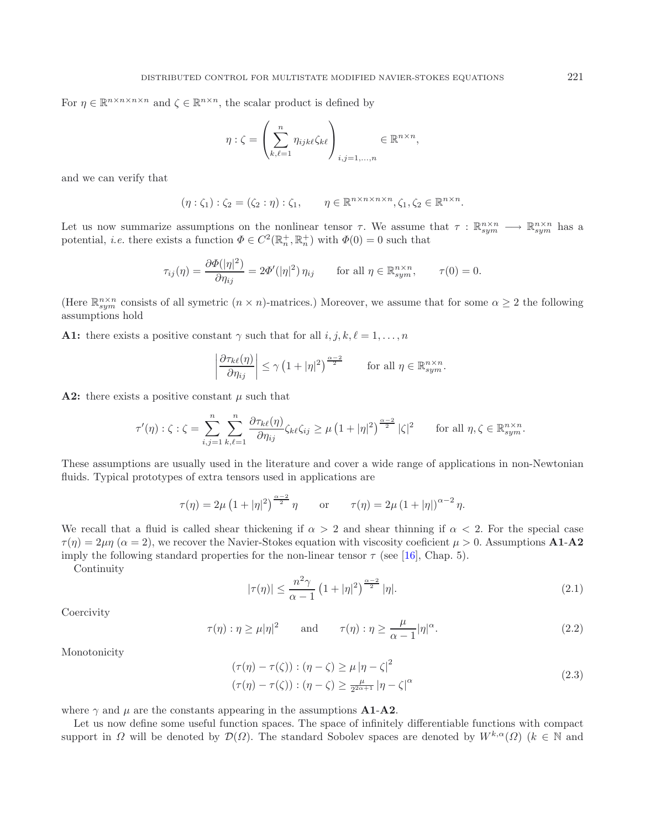For  $\eta \in \mathbb{R}^{n \times n \times n \times n}$  and  $\zeta \in \mathbb{R}^{n \times n}$ , the scalar product is defined by

$$
\eta : \zeta = \left(\sum_{k,\ell=1}^n \eta_{ijk\ell} \zeta_{k\ell}\right)_{i,j=1,\ldots,n} \in \mathbb{R}^{n \times n},
$$

and we can verify that

$$
(\eta : \zeta_1) : \zeta_2 = (\zeta_2 : \eta) : \zeta_1, \qquad \eta \in \mathbb{R}^{n \times n \times n \times n}, \zeta_1, \zeta_2 \in \mathbb{R}^{n \times n}.
$$

Let us now summarize assumptions on the nonlinear tensor  $\tau$ . We assume that  $\tau : \mathbb{R}^{n \times n}_{sym} \longrightarrow \mathbb{R}^{n \times n}_{sym}$  has a potential, *i.e.* there exists a function  $\Phi \in C^2(\mathbb{R}^+_n, \mathbb{R}^+_n)$  with  $\Phi(0) = 0$  such that

$$
\tau_{ij}(\eta) = \frac{\partial \Phi(|\eta|^2)}{\partial \eta_{ij}} = 2\Phi'(|\eta|^2) \eta_{ij} \quad \text{for all } \eta \in \mathbb{R}^{n \times n}_{sym}, \quad \tau(0) = 0.
$$

(Here  $\mathbb{R}_{sym}^{n\times n}$  consists of all symetric  $(n \times n)$ -matrices.) Moreover, we assume that for some  $\alpha \geq 2$  the following assumptions hold

**A1:** there exists a positive constant  $\gamma$  such that for all  $i, j, k, \ell = 1, \ldots, n$ 

$$
\left|\frac{\partial \tau_{k\ell}(\eta)}{\partial \eta_{ij}}\right| \leq \gamma \left(1+|\eta|^2\right)^{\frac{\alpha-2}{2}} \quad \text{for all } \eta \in \mathbb{R}_{sym}^{n \times n}.
$$

<span id="page-2-0"></span>**A2:** there exists a positive constant  $\mu$  such that

$$
\tau'(\eta) : \zeta : \zeta = \sum_{i,j=1}^n \sum_{k,\ell=1}^n \frac{\partial \tau_{k\ell}(\eta)}{\partial \eta_{ij}} \zeta_{k\ell} \zeta_{ij} \ge \mu \left(1 + |\eta|^2\right)^{\frac{\alpha-2}{2}} |\zeta|^2 \quad \text{for all } \eta, \zeta \in \mathbb{R}^{n \times n}_{sym}.
$$

<span id="page-2-2"></span><span id="page-2-1"></span>These assumptions are usually used in the literature and cover a wide range of applications in non-Newtonian fluids. Typical prototypes of extra tensors used in applications are

$$
\tau(\eta) = 2\mu \left(1 + |\eta|^2\right)^{\frac{\alpha - 2}{2}} \eta \quad \text{or} \quad \tau(\eta) = 2\mu \left(1 + |\eta|\right)^{\alpha - 2} \eta.
$$

We recall that a fluid is called shear thickening if  $\alpha > 2$  and shear thinning if  $\alpha < 2$ . For the special case  $\tau(\eta) = 2\mu\eta$  ( $\alpha = 2$ ), we recover the Navier-Stokes equation with viscosity coeficient  $\mu > 0$ . Assumptions **A1-A2** imply the following standard properties for the non-linear tensor  $\tau$  (see [\[16](#page-19-2)], Chap. 5).

**Continuity** 

$$
|\tau(\eta)| \le \frac{n^2 \gamma}{\alpha - 1} \left( 1 + |\eta|^2 \right)^{\frac{\alpha - 2}{2}} |\eta|.
$$
 (2.1)

**Coercivity** 

$$
\tau(\eta) : \eta \ge \mu |\eta|^2
$$
 and  $\tau(\eta) : \eta \ge \frac{\mu}{\alpha - 1} |\eta|^{\alpha}.$  (2.2)

Monotonicity

$$
(\tau(\eta) - \tau(\zeta)) : (\eta - \zeta) \ge \mu |\eta - \zeta|^2
$$
  

$$
(\tau(\eta) - \tau(\zeta)) : (\eta - \zeta) \ge \frac{\mu}{2^{2\alpha + 1}} |\eta - \zeta|^{\alpha}
$$
 (2.3)

where  $\gamma$  and  $\mu$  are the constants appearing in the assumptions **A1-A2**.

Let us now define some useful function spaces. The space of infinitely differentiable functions with compact support in  $\Omega$  will be denoted by  $\mathcal{D}(\Omega)$ . The standard Sobolev spaces are denoted by  $W^{k,\alpha}(\Omega)$  ( $k \in \mathbb{N}$  and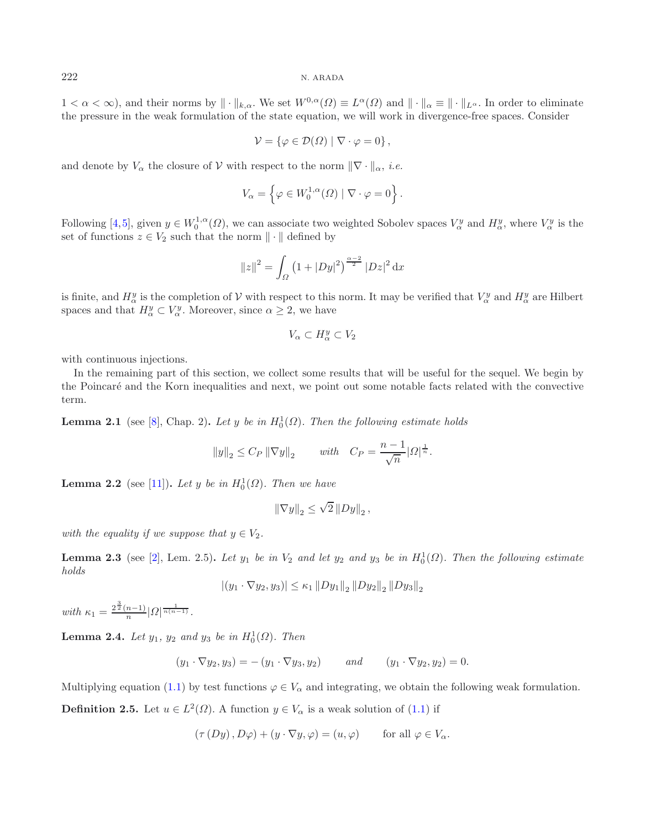$1 < \alpha < \infty$ ), and their norms by  $\| \cdot \|_{k,\alpha}$ . We set  $W^{0,\alpha}(\Omega) \equiv L^{\alpha}(\Omega)$  and  $\| \cdot \|_{\alpha} \equiv \| \cdot \|_{L^{\alpha}}$ . In order to eliminate the pressure in the weak formulation of the state equation, we will work in divergence-free spaces. Consider

$$
\mathcal{V} = \{ \varphi \in \mathcal{D}(\Omega) \mid \nabla \cdot \varphi = 0 \},
$$

and denote by  $V_{\alpha}$  the closure of  $V$  with respect to the norm  $\|\nabla \cdot \|_{\alpha}$ , *i.e.* 

$$
V_{\alpha} = \left\{ \varphi \in W_0^{1,\alpha}(\Omega) \mid \nabla \cdot \varphi = 0 \right\}
$$

Following [\[4](#page-19-13),[5\]](#page-19-12), given  $y \in W_0^{1,\alpha}(\Omega)$ , we can associate two weighted Sobolev spaces  $V_\alpha^y$  and  $H_\alpha^y$ , where  $V_\alpha^y$  is the set of functions  $z \in V_\alpha$  such that the norm  $\|\cdot\|$  defined by set of functions  $z \in V_2$  such that the norm  $\|\cdot\|$  defined by

$$
||z||^2 = \int_{\Omega} (1 + |Dy|^2)^{\frac{\alpha - 2}{2}} |Dz|^2 dx
$$

is finite, and  $H^y_\alpha$  is the completion of V with respect to this norm. It may be verified that  $V^y_\alpha$  and  $H^y_\alpha$  are Hilbert spaces and that  $H^y \subset V^y$ . Moreover, since  $\alpha > 2$ , we have spaces and that  $H^y_\alpha \subset V^y_\alpha$ . Moreover, since  $\alpha \geq 2$ , we have

$$
V_\alpha\subset H^y_\alpha\subset V_2
$$

with continuous injections.

In the remaining part of this section, we collect some results that will be useful for the sequel. We begin by the Poincar´e and the Korn inequalities and next, we point out some notable facts related with the convective term.

**Lemma 2.1** (see [\[8\]](#page-19-15), Chap. 2). Let y be in  $H_0^1(\Omega)$ . Then the following estimate holds

$$
||y||_2 \le C_P ||\nabla y||_2
$$
 with  $C_P = \frac{n-1}{\sqrt{n}} |\Omega|^{\frac{1}{n}}$ 

**Lemma 2.2** (see [\[11\]](#page-19-16)). Let y be in  $H_0^1(\Omega)$ . Then we have

<span id="page-3-0"></span>
$$
\left\|\nabla y\right\|_2 \leq \sqrt{2} \left\|Dy\right\|_2,
$$

*with the equality if we suppose that*  $y \in V_2$ .

<span id="page-3-1"></span>**Lemma 2.3** (see [\[2](#page-19-14)], Lem. 2.5). *Let*  $y_1$  *be in*  $V_2$  *and let*  $y_2$  *and*  $y_3$  *be in*  $H_0^1(\Omega)$ *. Then the following estimate* holds *holds*

$$
|(y_1 \cdot \nabla y_2, y_3)| \le \kappa_1 \|Dy_1\|_2 \|Dy_2\|_2 \|Dy_3\|_2
$$

 $with \ \kappa_1 = \frac{2^{\frac{3}{2}}(n-1)}{n} |Q|^{\frac{1}{n(n-1)}}.$ 

<span id="page-3-2"></span>**Lemma 2.4.** *Let*  $y_1$ *,*  $y_2$  *and*  $y_3$  *be in*  $H_0^1(\Omega)$ *. Then* 

$$
(y_1 \cdot \nabla y_2, y_3) = -(y_1 \cdot \nabla y_3, y_2)
$$
 and  $(y_1 \cdot \nabla y_2, y_2) = 0.$ 

Multiplying equation [\(1.1\)](#page-0-0) by test functions  $\varphi \in V_\alpha$  and integrating, we obtain the following weak formulation. **Definition 2.5.** Let  $u \in L^2(\Omega)$ . A function  $y \in V_\alpha$  is a weak solution of [\(1.1\)](#page-0-0) if

$$
(\tau(Dy), D\varphi) + (y \cdot \nabla y, \varphi) = (u, \varphi) \quad \text{for all } \varphi \in V_{\alpha}.
$$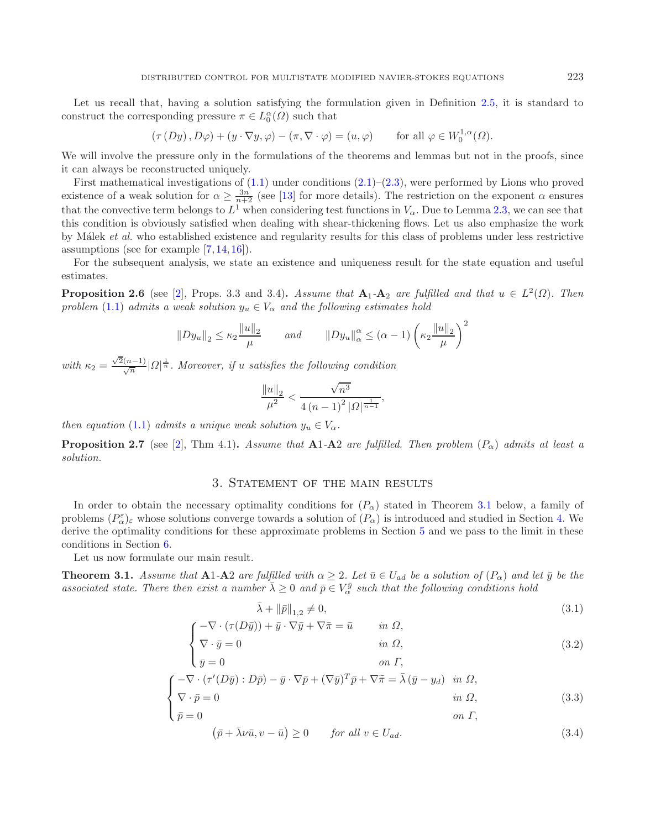<span id="page-4-4"></span>Let us recall that, having a solution satisfying the formulation given in Definition [2.5,](#page-3-0) it is standard to construct the corresponding pressure  $\pi \in L_0^{\alpha}(\Omega)$  such that

$$
(\tau(Dy), D\varphi) + (y \cdot \nabla y, \varphi) - (\pi, \nabla \cdot \varphi) = (u, \varphi) \quad \text{for all } \varphi \in W_0^{1, \alpha}(\Omega).
$$

We will involve the pressure only in the formulations of the theorems and lemmas but not in the proofs, since it can always be reconstructed uniquely.

First mathematical investigations of  $(1.1)$  under conditions  $(2.1)$ – $(2.3)$ , were performed by Lions who proved existence of a weak solution for  $\alpha \ge \frac{3n}{n+2}$  (see [\[13](#page-19-1)] for more details). The restriction on the exponent  $\alpha$  ensures that the convective term belongs to  $L^1$  when considering test functions in  $V_\alpha$ . Due to Lemma [2.3,](#page-3-1) we can see that this condition is obviously satisfied when dealing with shear-thickening flows. Let us also emphasize the work by M´alek *et al.* who established existence and regularity results for this class of problems under less restrictive assumptions (see for example [\[7](#page-19-17), [14,](#page-19-18) [16\]](#page-19-2)).

For the subsequent analysis, we state an existence and uniqueness result for the state equation and useful estimates.

**Proposition 2.6** (see [\[2](#page-19-14)], Props. 3.3 and 3.4)**.** *Assume that*  $A_1$ - $A_2$  *are fulfilled and that*  $u \in L^2(\Omega)$ *. Then problem* [\(1.1\)](#page-0-0) *admits a weak solution*  $y_u \in V_\alpha$  *and the following estimates hold* 

<span id="page-4-0"></span>
$$
||Dy_u||_2 \le \kappa_2 \frac{||u||_2}{\mu}
$$
 and  $||Dy_u||_{\alpha}^{\alpha} \le (\alpha - 1) \left(\kappa_2 \frac{||u||_2}{\mu}\right)^2$ 

with  $\kappa_2 = \frac{\sqrt{2}(n-1)}{\sqrt{n}} |Q|^{\frac{1}{n}}$ . Moreover, if *u* satisfies the following condition √

<span id="page-4-5"></span><span id="page-4-1"></span>
$$
\frac{\|u\|_2}{\mu^2} < \frac{\sqrt{n^3}}{4\left(n-1\right)^2 |\Omega|^{\frac{1}{n-1}}},
$$

*then equation* [\(1.1\)](#page-0-0) *admits a unique weak solution*  $y_u \in V_\alpha$ .

**Proposition 2.7** (see [\[2\]](#page-19-14), Thm 4.1). Assume that  $\mathbf{A}1-\mathbf{A}2$  are fulfilled. Then problem  $(P_{\alpha})$  admits at least a *solution.*

### 3. STATEMENT OF THE MAIN RESULTS

In order to obtain the necessary optimality conditions for  $(P_\alpha)$  stated in Theorem [3.1](#page-4-0) below, a family of problems  $(P_{\alpha}^{\varepsilon})_{\varepsilon}$  whose solutions converge towards a solution of  $(P_{\alpha})$  is introduced and studied in Section [4.](#page-6-0) We<br>derive the optimality conditions for these approximate problems in Section 5 and we pass to th derive the optimality conditions for these approximate problems in Section [5](#page-15-0) and we pass to the limit in these conditions in Section [6.](#page-16-0)

Let us now formulate our main result.

**Theorem 3.1.** *Assume that*  $A1-A2$  *are fulfilled with*  $\alpha \geq 2$ *. Let*  $\bar{u} \in U_{ad}$  *be a solution of*  $(P_{\alpha})$  *and let*  $\bar{y}$  *be the* associated state. There then exist a number  $\bar{\lambda} \geq 0$  and  $\bar{p} \in V_{\alpha}^{\bar{y}}$  such that the following conditions hold

<span id="page-4-3"></span><span id="page-4-2"></span>
$$
\bar{\lambda} + \|\bar{p}\|_{1,2} \neq 0,\tag{3.1}
$$

$$
\begin{cases}\n-\nabla \cdot (\tau(D\bar{y})) + \bar{y} \cdot \nabla \bar{y} + \nabla \bar{\pi} = \bar{u} & \text{in } \Omega, \\
\nabla \cdot \bar{y} = 0 & \text{in } \Omega,\n\end{cases}
$$
\n(3.2)

$$
\begin{aligned}\n\mathbf{I}_{\bar{y}} &= 0 & \text{on } \Gamma, \\
\int \nabla \cdot (\tau'(D\bar{y}) : D\bar{p}) - \bar{y} \cdot \nabla \bar{p} + (\nabla \bar{y})^T \bar{p} + \nabla \tilde{\pi} = \bar{\lambda} (\bar{y} - y_d) & \text{in } \Omega, \\
\nabla \cdot \bar{p} &= 0 & \text{in } \Omega\n\end{aligned}
$$
\n(3.3)

$$
\begin{cases}\n\nabla \cdot \bar{p} = 0 & \text{in } \Omega, \\
\bar{p} = 0 & \text{on } \Gamma,\n\end{cases}
$$
\n(3.3)

$$
(\bar{p} + \bar{\lambda}\nu\bar{u}, v - \bar{u}) \ge 0 \qquad \text{for all } v \in U_{ad}.
$$
\n
$$
(3.4)
$$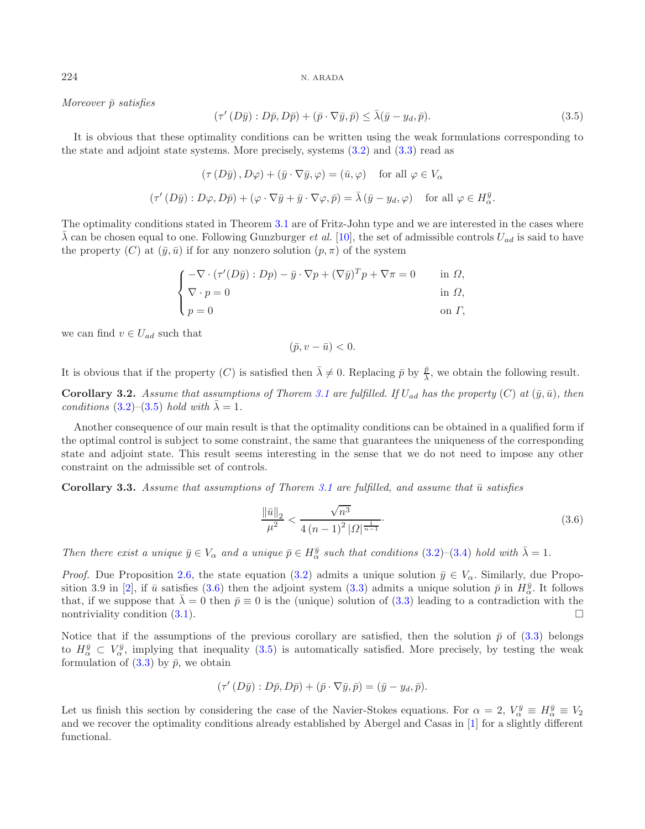*Moreover*  $\bar{p}$  *satisfies* 

$$
(\tau'(D\bar{y}): D\bar{p}, D\bar{p}) + (\bar{p} \cdot \nabla \bar{y}, \bar{p}) \le \bar{\lambda}(\bar{y} - y_d, \bar{p}).
$$
\n(3.5)

It is obvious that these optimality conditions can be written using the weak formulations corresponding to the state and adjoint state systems. More precisely, systems [\(3.2\)](#page-4-1) and [\(3.3\)](#page-4-2) read as

$$
(\tau(D\bar{y}), D\varphi) + (\bar{y} \cdot \nabla \bar{y}, \varphi) = (\bar{u}, \varphi) \quad \text{for all } \varphi \in V_{\alpha}
$$

$$
(\tau'(D\bar{y}): D\varphi, D\bar{p}) + (\varphi \cdot \nabla \bar{y} + \bar{y} \cdot \nabla \varphi, \bar{p}) = \bar{\lambda}(\bar{y} - y_d, \varphi) \quad \text{for all } \varphi \in H_{\alpha}^{\bar{y}}.
$$

The optimality conditions stated in Theorem [3.1](#page-4-0) are of Fritz-John type and we are interested in the cases where  $\overline{\lambda}$  can be chosen equal to one. Following Gunzburger *et al.* [\[10\]](#page-19-10), the set of admissible controls  $U_{ad}$  is said to have the property (C) at  $(\bar{y}, \bar{u})$  if for any nonzero solution  $(p, \pi)$  of the system

$$
\begin{cases}\n-\nabla \cdot (\tau'(D\bar{y}): Dp) - \bar{y} \cdot \nabla p + (\nabla \bar{y})^T p + \nabla \pi = 0 & \text{in } \Omega, \\
\nabla \cdot p = 0 & \text{in } \Omega, \\
p = 0 & \text{on } \Gamma,\n\end{cases}
$$

we can find  $v \in U_{ad}$  such that

<span id="page-5-1"></span>
$$
(\bar{p}, v - \bar{u}) < 0.
$$

It is obvious that if the property (C) is satisfied then  $\bar{\lambda} \neq 0$ . Replacing  $\bar{p}$  by  $\frac{\bar{p}}{\lambda}$ , we obtain the following result.

**Corollary 3.2.** *Assume that assumptions of Thorem [3.1](#page-4-0) are fulfilled. If*  $U_{ad}$  *has the property*  $(C)$  *at*  $(\bar{y}, \bar{u})$ *, then conditions* [\(3.2\)](#page-4-1)–[\(3.5\)](#page-5-0) *hold with*  $\bar{\lambda} = 1$ *.* 

Another consequence of our main result is that the optimality conditions can be obtained in a qualified form if the optimal control is subject to some constraint, the same that guarantees the uniqueness of the corresponding state and adjoint state. This result seems interesting in the sense that we do not need to impose any other constraint on the admissible set of controls.

**Corollary 3.3.** *Assume that assumptions of Thorem [3.1](#page-4-0) are fulfilled, and assume that*  $\bar{u}$  *satisfies* 

$$
\frac{\|\bar{u}\|_2}{\mu^2} < \frac{\sqrt{n^3}}{4\left(n-1\right)^2 |\Omega|^{\frac{1}{n-1}}}.\tag{3.6}
$$

*Then there exist a unique*  $\bar{y} \in V_\alpha$  *and a unique*  $\bar{p} \in H_\alpha^{\bar{y}}$  *such that conditions* [\(3.2\)](#page-4-1)–[\(3.4\)](#page-4-3) *hold with*  $\bar{\lambda} = 1$ *.* 

*Proof.* Due Proposition [2.6,](#page-4-4) the state equation [\(3.2\)](#page-4-1) admits a unique solution  $\bar{y} \in V_{\alpha}$ . Similarly, due Propo-sition 3.9 in [\[2\]](#page-19-14), if  $\bar{u}$  satisfies [\(3.6\)](#page-5-1) then the adjoint system [\(3.3\)](#page-4-2) admits a unique solution  $\bar{p}$  in  $H_{\bar{y}}^{\bar{y}}$ . It follows<br>that if we suppose that  $\bar{\lambda} = 0$  then  $\bar{p} = 0$  is the (unique) solution of (3 that, if we suppose that  $\bar{\lambda} = 0$  then  $\bar{p} \equiv 0$  is the (unique) solution of [\(3.3\)](#page-4-2) leading to a contradiction with the nontriviality condition (3.1). nontriviality condition  $(3.1)$ .

Notice that if the assumptions of the previous corollary are satisfied, then the solution  $\bar{p}$  of [\(3.3\)](#page-4-2) belongs to  $H_{\alpha}^{\bar{y}} \subset V_{\alpha}^{\bar{y}}$ , implying that inequality [\(3.5\)](#page-5-0) is automatically satisfied. More precisely, by testing the weak<br>formulation of (3.3) by  $\bar{p}$  we obtain formulation of  $(3.3)$  by  $\bar{p}$ , we obtain

$$
(\tau'(D\bar{y}): D\bar{p}, D\bar{p}) + (\bar{p} \cdot \nabla \bar{y}, \bar{p}) = (\bar{y} - y_d, \bar{p}).
$$

Let us finish this section by considering the case of the Navier-Stokes equations. For  $\alpha = 2$ ,  $V_{\alpha}^{\bar{y}} \equiv H_{\alpha}^{\bar{y}} \equiv V_2$ <br>and we recover the optimality conditions already established by Aborgal and Cases in [1] for and we recover the optimality conditions already established by Abergel and Casas in [\[1](#page-19-9)] for a slightly different functional.

<span id="page-5-0"></span>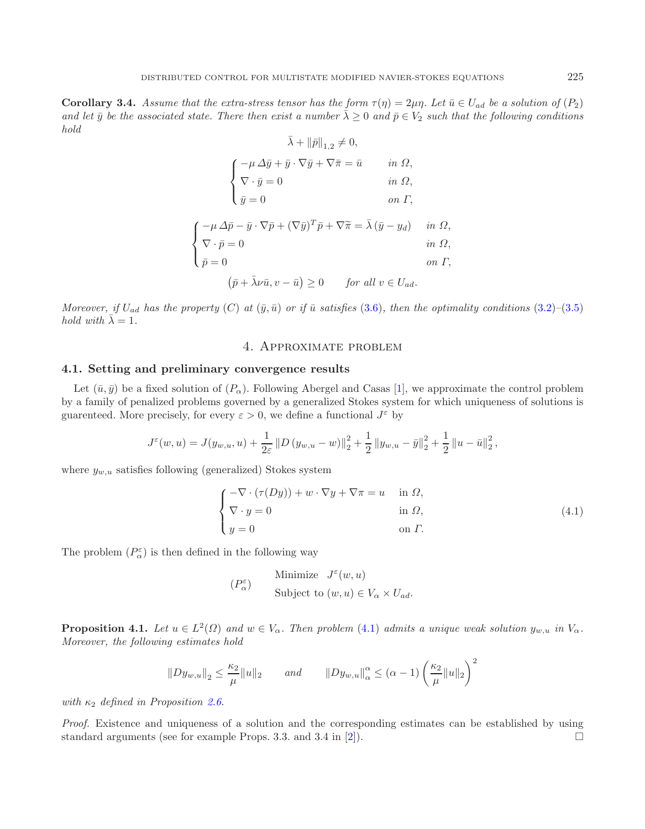**Corollary 3.4.** *Assume that the extra-stress tensor has the form*  $\tau(\eta) = 2\mu\eta$ . Let  $\bar{u} \in U_{ad}$  be a solution of  $(P_2)$ and let  $\bar{y}$  be the associated state. There then exist a number  $\bar{\lambda} > 0$  and  $\bar{p} \in V_2$  such that the following conditions *hold*

$$
\bar{\lambda} + ||\bar{p}||_{1,2} \neq 0,
$$
\n
$$
\begin{cases}\n-\mu \Delta \bar{y} + \bar{y} \cdot \nabla \bar{y} + \nabla \bar{\pi} = \bar{u} & \text{in } \Omega, \\
\nabla \cdot \bar{y} = 0 & \text{in } \Omega,\n\end{cases}
$$
\n
$$
\bar{y} = 0 \qquad \text{on } \Gamma,
$$
\n
$$
\begin{cases}\n-\mu \Delta \bar{p} - \bar{y} \cdot \nabla \bar{p} + (\nabla \bar{y})^T \bar{p} + \nabla \tilde{\pi} = \bar{\lambda} (\bar{y} - y_d) & \text{in } \Omega, \\
\nabla \cdot \bar{p} = 0 & \text{in } \Omega, \\
\bar{p} = 0 & \text{on } \Gamma, \\
(\bar{p} + \bar{\lambda} \nu \bar{u}, v - \bar{u}) \ge 0 & \text{for all } v \in U_{ad}.\n\end{cases}
$$

<span id="page-6-0"></span>*Moreover, if*  $U_{ad}$  *has the property* (C) at  $(\bar{y}, \bar{u})$  *or if*  $\bar{u}$  *satisfies* [\(3.6\)](#page-5-1)*, then the optimality conditions* [\(3.2\)](#page-4-1)–[\(3.5\)](#page-5-0) *hold with*  $\bar{\lambda} = 1$ *.* 

## <span id="page-6-1"></span>4. Approximate problem

#### **4.1. Setting and preliminary convergence results**

Let  $(\bar{u}, \bar{y})$  be a fixed solution of  $(P_{\alpha})$ . Following Abergel and Casas [\[1](#page-19-9)], we approximate the control problem by a family of penalized problems governed by a generalized Stokes system for which uniqueness of solutions is guarenteed. More precisely, for every  $\varepsilon > 0$ , we define a functional  $J^{\varepsilon}$  by

$$
J^{\varepsilon}(w, u) = J(y_{w,u}, u) + \frac{1}{2\varepsilon} ||D (y_{w,u} - w)||_2^2 + \frac{1}{2} ||y_{w,u} - \bar{y}||_2^2 + \frac{1}{2} ||u - \bar{u}||_2^2,
$$

<span id="page-6-2"></span>where  $y_{w,u}$  satisfies following (generalized) Stokes system

$$
\begin{cases}\n-\nabla \cdot (\tau(Dy)) + w \cdot \nabla y + \nabla \pi = u & \text{in } \Omega, \\
\nabla \cdot y = 0 & \text{in } \Omega, \\
y = 0 & \text{on } \Gamma.\n\end{cases}
$$
\n(4.1)

The problem  $(P_{\alpha}^{\varepsilon})$  is then defined in the following way

$$
(P_{\alpha}^{\varepsilon})
$$
 Minimize  $J^{\varepsilon}(w, u)$   
Subject to  $(w, u) \in V_{\alpha} \times U_{ad}$ .

**Proposition 4.1.** *Let*  $u \in L^2(\Omega)$  *and*  $w \in V_\alpha$ *. Then problem* [\(4.1\)](#page-6-1) *admits a unique weak solution*  $y_{w,u}$  *in*  $V_\alpha$ *. Moreover, the following estimates hold*

$$
||Dy_{w,u}||_2 \le \frac{\kappa_2}{\mu} ||u||_2
$$
 and  $||Dy_{w,u}||_{\alpha}^{\alpha} \le (\alpha - 1) \left(\frac{\kappa_2}{\mu} ||u||_2\right)^2$ 

*with*  $\kappa_2$  *defined in Proposition [2.6.](#page-4-4)* 

*Proof.* Existence and uniqueness of a solution and the corresponding estimates can be established by using standard arguments (see for example Props. 3.3. and 3.4 in [\[2\]](#page-19-14)).  $\Box$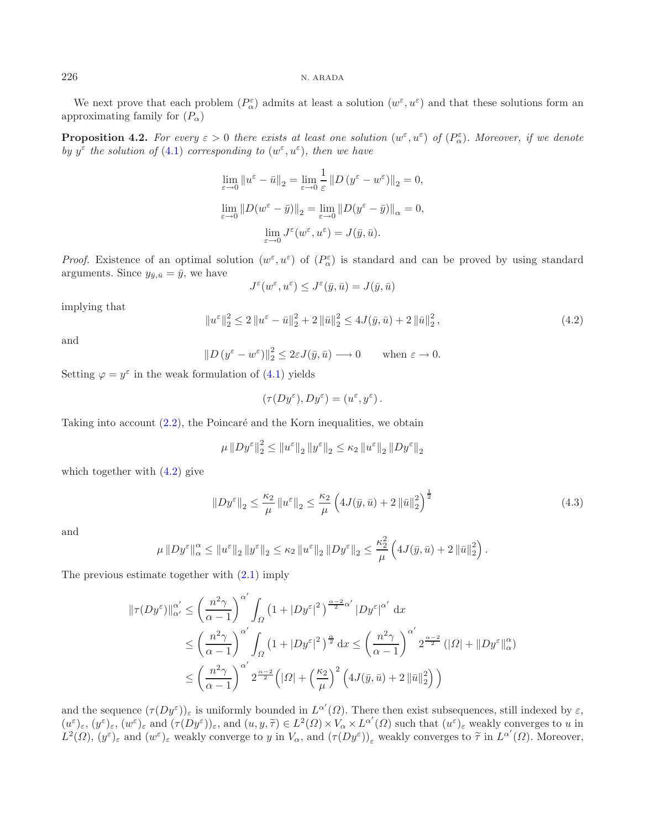We next prove that each problem  $(P_{\alpha}^{\varepsilon})$  admits at least a solution  $(w^{\varepsilon}, u^{\varepsilon})$  and that these solutions form an provincting family for  $(P_{\alpha})$ approximating family for  $(P_{\alpha})$ 

<span id="page-7-0"></span>**Proposition 4.2.** *For every*  $\varepsilon > 0$  *there exists at least one solution*  $(w^{\varepsilon}, u^{\varepsilon})$  *of*  $(P^{\varepsilon}_{\alpha})$ *. Moreover, if we denote*<br>by  $u^{\varepsilon}$  the solution of (4.1) corresponding to  $(w^{\varepsilon}, u^{\varepsilon})$  then we have *by*  $y^{\varepsilon}$  *the solution of* [\(4.1\)](#page-6-1) *corresponding to*  $(w^{\varepsilon}, u^{\varepsilon})$ *, then we have* 

$$
\lim_{\varepsilon \to 0} \|u^{\varepsilon} - \bar{u}\|_{2} = \lim_{\varepsilon \to 0} \frac{1}{\varepsilon} \|D (y^{\varepsilon} - w^{\varepsilon})\|_{2} = 0,
$$
  

$$
\lim_{\varepsilon \to 0} \|D (w^{\varepsilon} - \bar{y})\|_{2} = \lim_{\varepsilon \to 0} \|D (y^{\varepsilon} - \bar{y})\|_{\alpha} = 0,
$$
  

$$
\lim_{\varepsilon \to 0} J^{\varepsilon} (w^{\varepsilon}, u^{\varepsilon}) = J(\bar{y}, \bar{u}).
$$

*Proof.* Existence of an optimal solution  $(w^{\varepsilon}, u^{\varepsilon})$  of  $(P^{\varepsilon}_{\alpha})$  is standard and can be proved by using standard arguments. Since  $y_{\bar{y},\bar{u}} = \bar{y}$ , we have

$$
J^{\varepsilon}(w^{\varepsilon}, u^{\varepsilon}) \leq J^{\varepsilon}(\bar{y}, \bar{u}) = J(\bar{y}, \bar{u})
$$

<span id="page-7-1"></span>implying that

$$
\|u^{\varepsilon}\|_{2}^{2} \le 2\|u^{\varepsilon}-\bar{u}\|_{2}^{2} + 2\|\bar{u}\|_{2}^{2} \le 4J(\bar{y}, \bar{u}) + 2\|\bar{u}\|_{2}^{2}, \tag{4.2}
$$

and

 $\|D(y^{\varepsilon}-w^{\varepsilon})\|_2^2 \leq 2\varepsilon J(\bar{y}, \bar{u}) \longrightarrow 0 \quad \text{when } \varepsilon \to 0.$ 

Setting  $\varphi = y^{\varepsilon}$  in the weak formulation of [\(4.1\)](#page-6-1) yields

$$
(\tau(Dy^{\varepsilon}), Dy^{\varepsilon}) = (u^{\varepsilon}, y^{\varepsilon}).
$$

Taking into account  $(2.2)$ , the Poincaré and the Korn inequalities, we obtain

$$
\mu \left\| D y^{\varepsilon} \right\|_2^2 \leq \left\| u^{\varepsilon} \right\|_2 \left\| y^{\varepsilon} \right\|_2 \leq \kappa_2 \left\| u^{\varepsilon} \right\|_2 \left\| D y^{\varepsilon} \right\|_2
$$

which together with  $(4.2)$  give

$$
||Dy^{\varepsilon}||_2 \le \frac{\kappa_2}{\mu} ||u^{\varepsilon}||_2 \le \frac{\kappa_2}{\mu} \left( 4J(\bar{y}, \bar{u}) + 2 ||\bar{u}||_2^2 \right)^{\frac{1}{2}}
$$
(4.3)

and

$$
\mu \left\| D y^{\varepsilon} \right\|_{\alpha}^{\alpha} \leq \left\| u^{\varepsilon} \right\|_{2} \left\| y^{\varepsilon} \right\|_{2} \leq \kappa_{2} \left\| u^{\varepsilon} \right\|_{2} \left\| D y^{\varepsilon} \right\|_{2} \leq \frac{\kappa_{2}^{2}}{\mu} \left( 4J(\bar{y}, \bar{u}) + 2 \left\| \bar{u} \right\|_{2}^{2} \right).
$$

The previous estimate together with [\(2.1\)](#page-2-0) imply

$$
\|\tau(Dy^{\varepsilon})\|_{\alpha'}^{\alpha'} \le \left(\frac{n^2\gamma}{\alpha-1}\right)^{\alpha'} \int_{\Omega} \left(1+|Dy^{\varepsilon}|^2\right)^{\frac{\alpha-2}{2}\alpha'} |Dy^{\varepsilon}|^{\alpha'} dx
$$
  

$$
\le \left(\frac{n^2\gamma}{\alpha-1}\right)^{\alpha'} \int_{\Omega} \left(1+|Dy^{\varepsilon}|^2\right)^{\frac{\alpha}{2}} dx \le \left(\frac{n^2\gamma}{\alpha-1}\right)^{\alpha'} 2^{\frac{\alpha-2}{2}} (|\Omega|+ \|Dy^{\varepsilon}\|_{\alpha}^{\alpha})
$$
  

$$
\le \left(\frac{n^2\gamma}{\alpha-1}\right)^{\alpha'} 2^{\frac{\alpha-2}{2}} \left(|\Omega|+\left(\frac{\kappa_2}{\mu}\right)^2 \left(4J(\bar{y}, \bar{u})+2\|\bar{u}\|_2^2\right)\right)
$$

and the sequence  $(\tau(Dy^{\varepsilon}))_{\varepsilon}$  is uniformly bounded in  $L^{\alpha'}$ <br> $(u^{\varepsilon}) = (u^{\varepsilon})$  and  $(\tau(Du^{\varepsilon}))$  and  $(u, u, \tilde{\tau}) \in L^2(\Omega)$ ( $\Omega$ ). There then exist subsequences, still indexed by  $\varepsilon$ ,<br> $\chi V \propto I^{\alpha'}(Q)$  such that  $(u^{\varepsilon})$ , would converges to u in  $(u^{\varepsilon})_{\varepsilon}$ ,  $(y^{\varepsilon})_{\varepsilon}$ ,  $(w^{\varepsilon})_{\varepsilon}$  and  $(\tau(Dy^{\varepsilon}))_{\varepsilon}$ , and  $(u, y, \tilde{\tau}) \in L^2(\Omega) \times V_{\alpha} \times L^{\alpha'}(\Omega)$  such that  $(u^{\varepsilon})_{\varepsilon}$  weakly converges to u in  $L^2(\Omega)$  ( $u^{\varepsilon}$ ) and  $(u^{\varepsilon})_{\varepsilon}$  and  $(u^{\varepsilon})_{$  $L^2(\Omega)$ ,  $(y^{\varepsilon})_{\varepsilon}$  and  $(w^{\varepsilon})_{\varepsilon}$  weakly converge to y in  $V_{\alpha}$ , and  $(\tau(Dy^{\varepsilon}))_{\varepsilon}$  weakly converges to  $\tilde{\tau}$  in  $L^{\alpha'}(\Omega)$ . Moreover,

<span id="page-7-2"></span>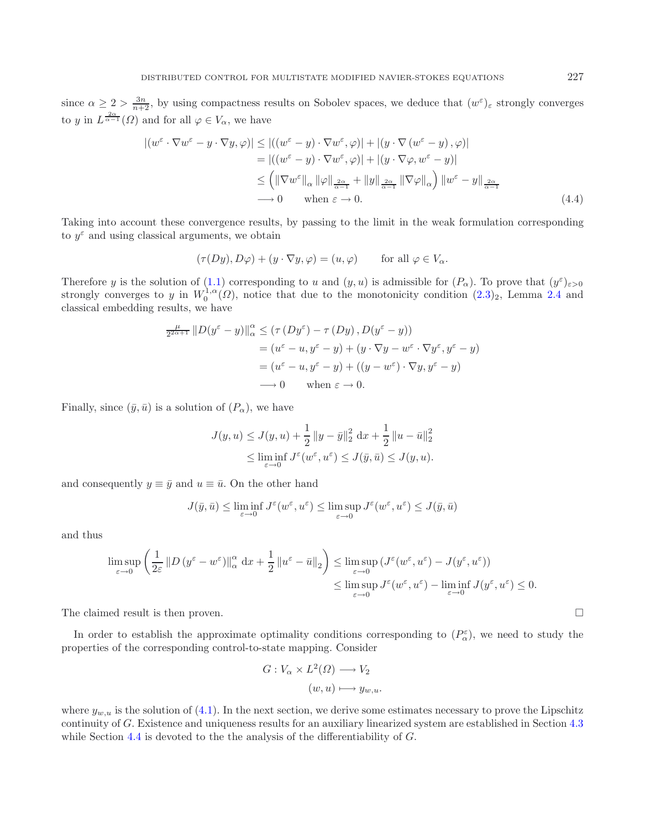since  $\alpha \ge 2 > \frac{3n}{n+2}$ , by using compactness results on Sobolev spaces, we deduce that  $(w^{\varepsilon})_{\varepsilon}$  strongly converges to y in  $L^{\frac{2\alpha}{\alpha-1}}(\Omega)$  and for all  $\varphi \in V_\alpha$ , we have

$$
\left| \left( w^{\varepsilon} \cdot \nabla w^{\varepsilon} - y \cdot \nabla y, \varphi \right) \right| \le \left| \left( \left( w^{\varepsilon} - y \right) \cdot \nabla w^{\varepsilon}, \varphi \right) \right| + \left| \left( y \cdot \nabla \left( w^{\varepsilon} - y \right), \varphi \right) \right|
$$
  
\n
$$
= \left| \left( \left( w^{\varepsilon} - y \right) \cdot \nabla w^{\varepsilon}, \varphi \right) \right| + \left| \left( y \cdot \nabla \varphi, w^{\varepsilon} - y \right) \right|
$$
  
\n
$$
\le \left( \left\| \nabla w^{\varepsilon} \right\|_{\alpha} \left\| \varphi \right\|_{\frac{2\alpha}{\alpha - 1}} + \left\| y \right\|_{\frac{2\alpha}{\alpha - 1}} \left\| \nabla \varphi \right\|_{\alpha} \right) \left\| w^{\varepsilon} - y \right\|_{\frac{2\alpha}{\alpha - 1}}
$$
  
\n
$$
\longrightarrow 0 \qquad \text{when } \varepsilon \to 0. \tag{4.4}
$$

Taking into account these convergence results, by passing to the limit in the weak formulation corresponding to  $y^{\varepsilon}$  and using classical arguments, we obtain

$$
(\tau(Dy), D\varphi) + (y \cdot \nabla y, \varphi) = (u, \varphi) \quad \text{for all } \varphi \in V_{\alpha}.
$$

Therefore y is the solution of [\(1.1\)](#page-0-0) corresponding to u and  $(y, u)$  is admissible for  $(P_{\alpha})$ . To prove that  $(y^{\varepsilon})_{\varepsilon > 0}$ <br>strongly converges to u in  $W^{1,\alpha}(Q)$  notice that due to the monotonicity condition  $(2, 3)$ . strongly converges to y in  $W_0^{1,\alpha}(\Omega)$ , notice that due to the monotonicity condition  $(2.3)_2$  $(2.3)_2$ , Lemma [2.4](#page-3-2) and classical embedding results, we have classical embedding results, we have

$$
\frac{\mu}{2^{2\alpha+1}} \|D(y^{\varepsilon} - y)\|_{\alpha}^{\alpha} \leq (\tau (Dy^{\varepsilon}) - \tau (Dy), D(y^{\varepsilon} - y))
$$
  
=  $(u^{\varepsilon} - u, y^{\varepsilon} - y) + (y \cdot \nabla y - w^{\varepsilon} \cdot \nabla y^{\varepsilon}, y^{\varepsilon} - y)$   
=  $(u^{\varepsilon} - u, y^{\varepsilon} - y) + ((y - w^{\varepsilon}) \cdot \nabla y, y^{\varepsilon} - y)$   
 $\longrightarrow 0 \quad \text{when } \varepsilon \to 0.$ 

Finally, since  $(\bar{y}, \bar{u})$  is a solution of  $(P_{\alpha})$ , we have

$$
J(y, u) \le J(y, u) + \frac{1}{2} ||y - \bar{y}||_2^2 dx + \frac{1}{2} ||u - \bar{u}||_2^2
$$
  

$$
\le \liminf_{\varepsilon \to 0} J^{\varepsilon}(w^{\varepsilon}, u^{\varepsilon}) \le J(\bar{y}, \bar{u}) \le J(y, u).
$$

and consequently  $y \equiv \bar{y}$  and  $u \equiv \bar{u}$ . On the other hand

$$
J(\bar{y}, \bar{u}) \le \liminf_{\varepsilon \to 0} J^{\varepsilon}(w^{\varepsilon}, u^{\varepsilon}) \le \limsup_{\varepsilon \to 0} J^{\varepsilon}(w^{\varepsilon}, u^{\varepsilon}) \le J(\bar{y}, \bar{u})
$$

and thus

$$
\limsup_{\varepsilon \to 0} \left( \frac{1}{2\varepsilon} \left\| D\left( y^{\varepsilon} - w^{\varepsilon} \right) \right\|_{\alpha}^{\alpha} dx + \frac{1}{2} \left\| u^{\varepsilon} - \bar{u} \right\|_{2} \right) \leq \limsup_{\varepsilon \to 0} \left( J^{\varepsilon} \left( w^{\varepsilon}, u^{\varepsilon} \right) - J \left( y^{\varepsilon}, u^{\varepsilon} \right) \right) \leq \limsup_{\varepsilon \to 0} J^{\varepsilon} \left( w^{\varepsilon}, u^{\varepsilon} \right) - \liminf_{\varepsilon \to 0} J \left( y^{\varepsilon}, u^{\varepsilon} \right) \leq 0.
$$

The claimed result is then proven.  $\Box$ 

In order to establish the approximate optimality conditions corresponding to  $(P_{\alpha}^{\varepsilon})$ , we need to study the properties of the corresponding control-to-state mapping. Consider

$$
G: V_{\alpha} \times L^{2}(\Omega) \longrightarrow V_{2}
$$

$$
(w, u) \longmapsto y_{w,u}.
$$

where  $y_{w,u}$  is the solution of [\(4.1\)](#page-6-1). In the next section, we derive some estimates necessary to prove the Lipschitz continuity of G. Existence and uniqueness results for an auxiliary linearized system are established in Section [4.3](#page-10-0) while Section [4.4](#page-11-0) is devoted to the the analysis of the differentiability of  $G$ .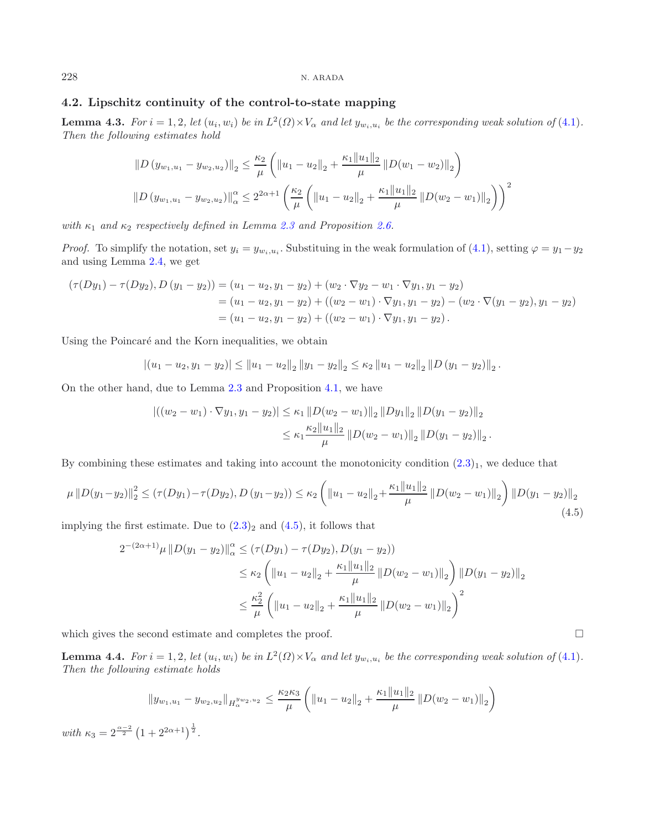# **4.2. Lipschitz continuity of the control-to-state mapping**

<span id="page-9-1"></span>**Lemma 4.3.** *For*  $i = 1, 2$ *, let*  $(u_i, w_i)$  *be in*  $L^2(\Omega) \times V_\alpha$  *and let*  $y_{w_i, u_i}$  *be the corresponding weak solution of* [\(4.1\)](#page-6-1)*. Then the following estimates hold*

$$
||D (y_{w_1, u_1} - y_{w_2, u_2})||_2 \leq \frac{\kappa_2}{\mu} \left( ||u_1 - u_2||_2 + \frac{\kappa_1 ||u_1||_2}{\mu} ||D(w_1 - w_2)||_2 \right)
$$
  

$$
||D (y_{w_1, u_1} - y_{w_2, u_2})||_{\alpha} \leq 2^{2\alpha + 1} \left( \frac{\kappa_2}{\mu} \left( ||u_1 - u_2||_2 + \frac{\kappa_1 ||u_1||_2}{\mu} ||D(w_2 - w_1)||_2 \right) \right)^2
$$

*with*  $\kappa_1$  *and*  $\kappa_2$  *respectively defined in Lemma [2.3](#page-3-1) and Proposition [2.6.](#page-4-4)* 

*Proof.* To simplify the notation, set  $y_i = y_{w_i, u_i}$ . Substituing in the weak formulation of [\(4.1\)](#page-6-1), setting  $\varphi = y_1 - y_2$ and using Lemma [2.4,](#page-3-2) we get

$$
(\tau(Dy_1) - \tau(Dy_2), D (y_1 - y_2)) = (u_1 - u_2, y_1 - y_2) + (w_2 \cdot \nabla y_2 - w_1 \cdot \nabla y_1, y_1 - y_2)
$$
  
=  $(u_1 - u_2, y_1 - y_2) + ((w_2 - w_1) \cdot \nabla y_1, y_1 - y_2) - (w_2 \cdot \nabla (y_1 - y_2), y_1 - y_2)$   
=  $(u_1 - u_2, y_1 - y_2) + ((w_2 - w_1) \cdot \nabla y_1, y_1 - y_2).$ 

Using the Poincaré and the Korn inequalities, we obtain

$$
|(u_1 - u_2, y_1 - y_2)| \le ||u_1 - u_2||_2 ||y_1 - y_2||_2 \le \kappa_2 ||u_1 - u_2||_2 ||D (y_1 - y_2)||_2.
$$

On the other hand, due to Lemma [2.3](#page-3-1) and Proposition [4.1,](#page-6-2) we have

$$
\left| \left( (w_2 - w_1) \cdot \nabla y_1, y_1 - y_2 \right) \right| \le \kappa_1 \left\| D(w_2 - w_1) \right\|_2 \left\| Dy_1 \right\|_2 \left\| D(y_1 - y_2) \right\|_2
$$
  

$$
\le \kappa_1 \frac{\kappa_2 \|u_1\|_2}{\mu} \left\| D(w_2 - w_1) \right\|_2 \left\| D(y_1 - y_2) \right\|_2.
$$

By combining these estimates and taking into account the monotonicity condition  $(2.3)_1$  $(2.3)_1$ , we deduce that

$$
\mu ||D(y_1 - y_2)||_2^2 \le \left(\tau(Dy_1) - \tau(Dy_2), D(y_1 - y_2)\right) \le \kappa_2 \left(\|u_1 - u_2\|_2 + \frac{\kappa_1 \|u_1\|_2}{\mu} \left\|D(w_2 - w_1)\right\|_2\right) \left\|D(y_1 - y_2)\right\|_2\tag{4.5}
$$

implying the first estimate. Due to  $(2.3)_2$  $(2.3)_2$  and  $(4.5)$ , it follows that

$$
2^{-(2\alpha+1)}\mu ||D(y_1 - y_2)||_{\alpha}^{\alpha} \leq (\tau(Dy_1) - \tau(Dy_2), D(y_1 - y_2))
$$
  

$$
\leq \kappa_2 \left( ||u_1 - u_2||_2 + \frac{\kappa_1 ||u_1||_2}{\mu} ||D(w_2 - w_1)||_2 \right) ||D(y_1 - y_2)||_2
$$
  

$$
\leq \frac{\kappa_2^2}{\mu} \left( ||u_1 - u_2||_2 + \frac{\kappa_1 ||u_1||_2}{\mu} ||D(w_2 - w_1)||_2 \right)^2
$$

which gives the second estimate and completes the proof.

<span id="page-9-2"></span>**Lemma 4.4.** *For*  $i = 1, 2$ *, let*  $(u_i, w_i)$  *be in*  $L^2(\Omega) \times V_\alpha$  *and let*  $y_{w_i, u_i}$  *be the corresponding weak solution of* [\(4.1\)](#page-6-1)*. Then the following estimate holds*

$$
||y_{w_1,u_1} - y_{w_2,u_2}||_{H^{y_{w_2,u_2}}_{\alpha}} \leq \frac{\kappa_2 \kappa_3}{\mu} \left( ||u_1 - u_2||_2 + \frac{\kappa_1 ||u_1||_2}{\mu} ||D(w_2 - w_1)||_2 \right)
$$

*with*  $\kappa_3 = 2^{\frac{\alpha - 2}{2}} (1 + 2^{2\alpha + 1})^{\frac{1}{2}}$ .

<span id="page-9-0"></span>
$$
\Box
$$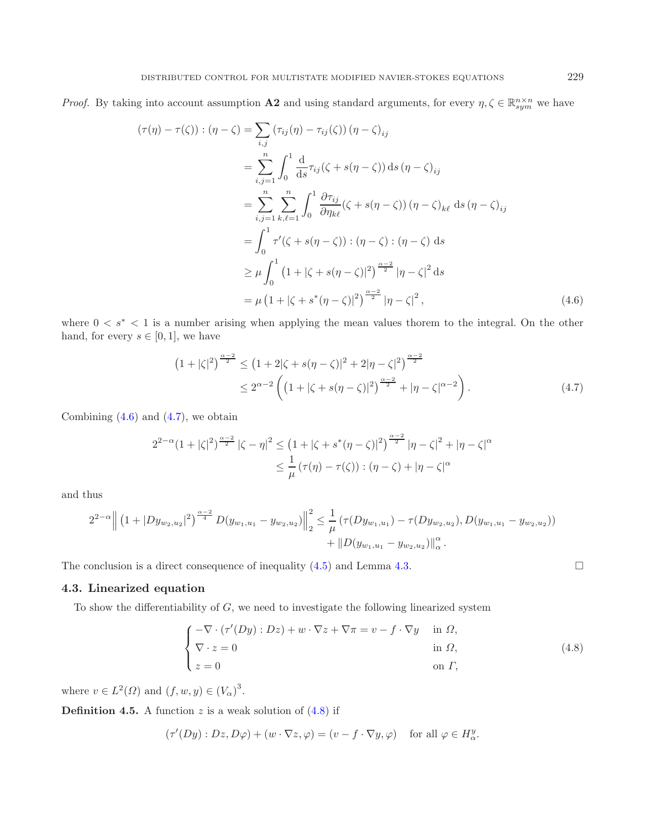*Proof.* By taking into account assumption **A2** and using standard arguments, for every  $\eta, \zeta \in \mathbb{R}_{sym}^{n \times n}$  we have

<span id="page-10-1"></span>
$$
(\tau(\eta) - \tau(\zeta)) : (\eta - \zeta) = \sum_{i,j} (\tau_{ij}(\eta) - \tau_{ij}(\zeta)) (\eta - \zeta)_{ij}
$$
  
\n
$$
= \sum_{i,j=1}^{n} \int_{0}^{1} \frac{d}{ds} \tau_{ij}(\zeta + s(\eta - \zeta)) ds (\eta - \zeta)_{ij}
$$
  
\n
$$
= \sum_{i,j=1}^{n} \sum_{k,\ell=1}^{n} \int_{0}^{1} \frac{\partial \tau_{ij}}{\partial \eta_{k\ell}} (\zeta + s(\eta - \zeta)) (\eta - \zeta)_{k\ell} ds (\eta - \zeta)_{ij}
$$
  
\n
$$
= \int_{0}^{1} \tau'(\zeta + s(\eta - \zeta)) : (\eta - \zeta) : (\eta - \zeta) ds
$$
  
\n
$$
\geq \mu \int_{0}^{1} (1 + |\zeta + s(\eta - \zeta)|^{2})^{\frac{\alpha - 2}{2}} |\eta - \zeta|^{2} ds
$$
  
\n
$$
= \mu (1 + |\zeta + s^{*}(\eta - \zeta)|^{2})^{\frac{\alpha - 2}{2}} |\eta - \zeta|^{2},
$$
\n(4.6)

where  $0 \lt s^* \lt 1$  is a number arising when applying the mean values thorem to the integral. On the other hand, for every  $s \in [0, 1]$ , we have

<span id="page-10-2"></span>
$$
(1+|\zeta|^2)^{\frac{\alpha-2}{2}} \le (1+2|\zeta+s(\eta-\zeta)|^2+2|\eta-\zeta|^2)^{\frac{\alpha-2}{2}} \n\le 2^{\alpha-2}\left((1+|\zeta+s(\eta-\zeta)|^2)^{\frac{\alpha-2}{2}}+|\eta-\zeta|^{\alpha-2}\right).
$$
\n(4.7)

Combining  $(4.6)$  and  $(4.7)$ , we obtain

$$
2^{2-\alpha}(1+|\zeta|^2)^{\frac{\alpha-2}{2}}|\zeta-\eta|^2 \le (1+|\zeta+s^*(\eta-\zeta)|^2)^{\frac{\alpha-2}{2}}|\eta-\zeta|^2+|\eta-\zeta|^{\alpha}
$$
  

$$
\le \frac{1}{\mu}(\tau(\eta)-\tau(\zeta)):(\eta-\zeta)+|\eta-\zeta|^{\alpha}
$$

and thus

$$
2^{2-\alpha} \left\| \left(1+|D y_{w_2,u_2}|^2\right)^{\frac{\alpha-2}{4}} D(y_{w_1,u_1}-y_{w_2,u_2}) \right\|_2^2 \leq \frac{1}{\mu} \left( \tau(D y_{w_1,u_1}) - \tau(D y_{w_2,u_2}), D(y_{w_1,u_1}-y_{w_2,u_2}) \right) + \|D(y_{w_1,u_1}-y_{w_2,u_2})\|_{\alpha}^{\alpha}.
$$

The conclusion is a direct consequence of inequality  $(4.5)$  and Lemma [4.3.](#page-9-1)

## <span id="page-10-0"></span>**4.3. Linearized equation**

To show the differentiability of  $G$ , we need to investigate the following linearized system

$$
\begin{cases}\n-\nabla \cdot (\tau'(Dy) : Dz) + w \cdot \nabla z + \nabla \pi = v - f \cdot \nabla y & \text{in } \Omega, \\
\nabla \cdot z = 0 & \text{in } \Omega, \\
z = 0 & \text{on } \Gamma,\n\end{cases}
$$
\n(4.8)

where  $v \in L^2(\Omega)$  and  $(f, w, y) \in (V_\alpha)^3$ .

<span id="page-10-4"></span>**Definition 4.5.** A function z is a weak solution of  $(4.8)$  if

$$
(\tau'(Dy) : Dz, D\varphi) + (w \cdot \nabla z, \varphi) = (v - f \cdot \nabla y, \varphi) \quad \text{for all } \varphi \in H^y_{\alpha}.
$$

<span id="page-10-3"></span> $\Box$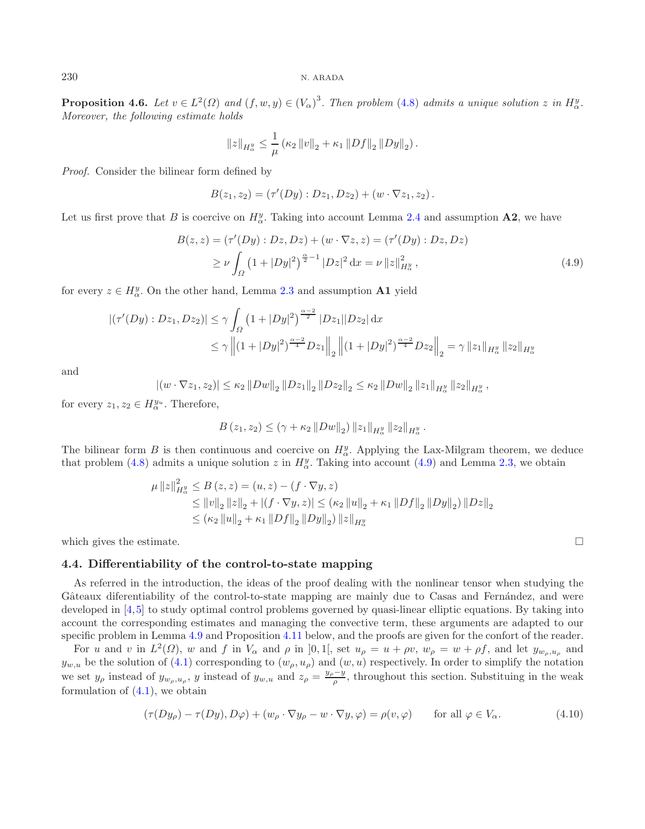**Proposition 4.6.** *Let*  $v \in L^2(\Omega)$  *and*  $(f, w, y) \in (V_\alpha)^3$ . *Then problem* [\(4.8\)](#page-10-3) *admits a unique solution* z *in*  $H^y_\alpha$ .<br>Moreover, the following estimate holds *Moreover, the following estimate holds*

<span id="page-11-1"></span>
$$
||z||_{H_{\alpha}^y} \leq \frac{1}{\mu} (\kappa_2 ||v||_2 + \kappa_1 ||Df||_2 ||Dy||_2).
$$

*Proof.* Consider the bilinear form defined by

$$
B(z_1, z_2) = (\tau'(Dy) : Dz_1, Dz_2) + (w \cdot \nabla z_1, z_2).
$$

Let us first prove that B is coercive on  $H^y_\alpha$ . Taking into account Lemma [2.4](#page-3-2) and assumption **A2**, we have

$$
B(z, z) = (\tau'(Dy) : Dz, Dz) + (w \cdot \nabla z, z) = (\tau'(Dy) : Dz, Dz)
$$
  
 
$$
\geq \nu \int_{\Omega} (1 + |Dy|^2)^{\frac{\alpha}{2} - 1} |Dz|^2 dx = \nu ||z||_{H^y_{\alpha}}^2,
$$
 (4.9)

for every  $z \in H^y_\alpha$ . On the other hand, Lemma [2.3](#page-3-1) and assumption **A1** yield

$$
\left| \left( \tau'(Dy) : Dz_1, Dz_2 \right) \right| \le \gamma \int_{\Omega} \left( 1 + |Dy|^2 \right)^{\frac{\alpha - 2}{2}} |Dz_1||Dz_2| \, \mathrm{d}x
$$
  

$$
\le \gamma \left\| \left( 1 + |Dy|^2 \right)^{\frac{\alpha - 2}{4}} Dz_1 \right\|_2 \left\| \left( 1 + |Dy|^2 \right)^{\frac{\alpha - 2}{4}} Dz_2 \right\|_2 = \gamma \left\| z_1 \right\|_{H^y_{\alpha}} \|z_2\|_{H^y_{\alpha}}
$$

and

$$
|(w\cdot\nabla z_1,z_2)|\leq \kappa_2 ||Dw||_2 ||Dz_1||_2 ||Dz_2||_2 \leq \kappa_2 ||Dw||_2 ||z_1||_{H^y_\alpha} ||z_2||_{H^y_\alpha},
$$

for every  $z_1, z_2 \in H^{y_u}_{\alpha}$ . Therefore,

$$
B(z_1, z_2) \le (\gamma + \kappa_2 ||Dw||_2) ||z_1||_{H^y_\alpha} ||z_2||_{H^y_\alpha}.
$$

The bilinear form B is then continuous and coercive on  $H_g^y$ . Applying the Lax-Milgram theorem, we deduce that problem (4.8) admits a unique solution  $z$  in  $H^y$ . Taking into account (4.9) and Lemma 2.3, we obtain that problem [\(4.8\)](#page-10-3) admits a unique solution z in  $H^y_\alpha$ . Taking into account [\(4.9\)](#page-11-1) and Lemma [2.3,](#page-3-1) we obtain

<span id="page-11-3"></span>
$$
\mu ||z||_{H^y_\alpha}^2 \le B(z, z) = (u, z) - (f \cdot \nabla y, z)
$$
  
\n
$$
\le ||v||_2 ||z||_2 + |(f \cdot \nabla y, z)| \le (\kappa_2 ||u||_2 + \kappa_1 ||Df||_2 ||Dy||_2) ||Dz||_2
$$
  
\n
$$
\le (\kappa_2 ||u||_2 + \kappa_1 ||Df||_2 ||Dy||_2) ||z||_{H^y_\alpha}
$$

<span id="page-11-0"></span>which gives the estimate.

#### **4.4. Differentiability of the control-to-state mapping**

<span id="page-11-2"></span>As referred in the introduction, the ideas of the proof dealing with the nonlinear tensor when studying the Gâteaux diferentiability of the control-to-state mapping are mainly due to Casas and Fernández, and were developed in [\[4,](#page-19-13)[5\]](#page-19-12) to study optimal control problems governed by quasi-linear elliptic equations. By taking into account the corresponding estimates and managing the convective term, these arguments are adapted to our specific problem in Lemma [4.9](#page-12-0) and Proposition [4.11](#page-13-0) below, and the proofs are given for the confort of the reader.

For u and v in  $L^2(\Omega)$ , w and f in  $V_\alpha$  and  $\rho$  in [0, 1[, set  $u_\rho = u + \rho v$ ,  $w_\rho = w + \rho f$ , and let  $y_{w_\rho,u_\rho}$  and  $y_{w,u}$  be the solution of [\(4.1\)](#page-6-1) corresponding to  $(w_\rho, u_\rho)$  and  $(w, u)$  respectively. In order to simplify the notation we set  $y_\rho$  instead of  $y_{w_\rho,u_\rho}$ , y instead of  $y_{w,u}$  and  $z_\rho = \frac{y_\rho - y}{\rho}$ , throughout this section. Substituing in the weak formulation of  $(4.1)$ , we obtain

$$
(\tau(Dy_{\rho}) - \tau(Dy), D\varphi) + (w_{\rho} \cdot \nabla y_{\rho} - w \cdot \nabla y, \varphi) = \rho(v, \varphi) \quad \text{for all } \varphi \in V_{\alpha}.
$$
 (4.10)

 $\Box$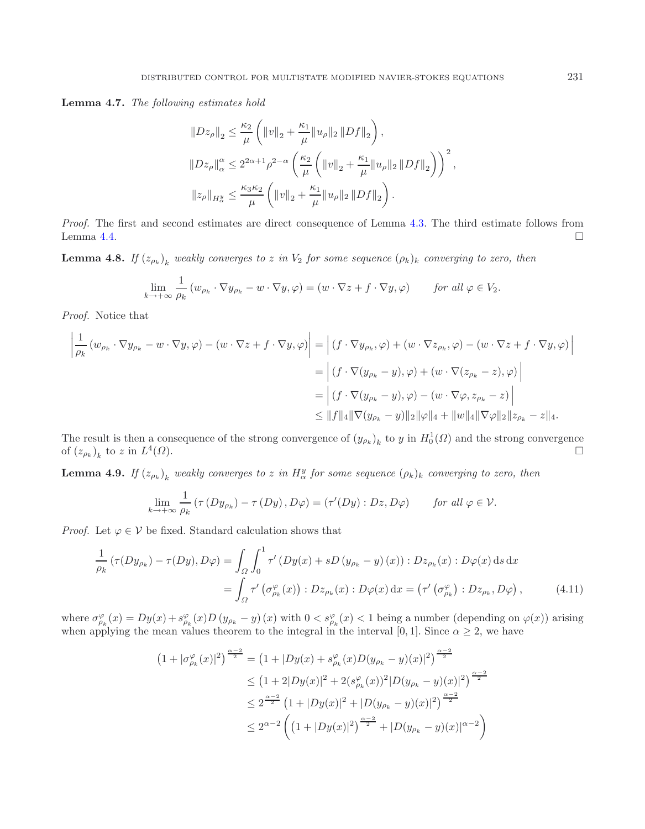**Lemma 4.7.** *The following estimates hold*

$$
||Dz_{\rho}||_2 \leq \frac{\kappa_2}{\mu} \left( ||v||_2 + \frac{\kappa_1}{\mu} ||u_{\rho}||_2 ||Df||_2 \right),
$$
  

$$
||Dz_{\rho}||_{\alpha}^{\alpha} \leq 2^{2\alpha+1} \rho^{2-\alpha} \left( \frac{\kappa_2}{\mu} \left( ||v||_2 + \frac{\kappa_1}{\mu} ||u_{\rho}||_2 ||Df||_2 \right) \right)^2,
$$
  

$$
||z_{\rho}||_{H_{\alpha}^{\eta}} \leq \frac{\kappa_3 \kappa_2}{\mu} \left( ||v||_2 + \frac{\kappa_1}{\mu} ||u_{\rho}||_2 ||Df||_2 \right).
$$

*Proof.* The first and second estimates are direct consequence of Lemma [4.3.](#page-9-1) The third estimate follows from Lemma [4.4.](#page-9-2)  $\Box$ 

<span id="page-12-2"></span>**Lemma 4.8.** *If*  $(z_{\rho_k})_k$  *weakly converges to* z *in*  $V_2$  *for some sequence*  $(\rho_k)_k$  *converging to zero, then* 

$$
\lim_{k \to +\infty} \frac{1}{\rho_k} \left( w_{\rho_k} \cdot \nabla y_{\rho_k} - w \cdot \nabla y, \varphi \right) = \left( w \cdot \nabla z + f \cdot \nabla y, \varphi \right) \qquad \text{for all } \varphi \in V_2.
$$

*Proof.* Notice that

$$
\left| \frac{1}{\rho_k} \left( w_{\rho_k} \cdot \nabla y_{\rho_k} - w \cdot \nabla y, \varphi \right) - \left( w \cdot \nabla z + f \cdot \nabla y, \varphi \right) \right| = \left| \left( f \cdot \nabla y_{\rho_k}, \varphi \right) + \left( w \cdot \nabla z_{\rho_k}, \varphi \right) - \left( w \cdot \nabla z + f \cdot \nabla y, \varphi \right) \right|
$$
  
\n
$$
= \left| \left( f \cdot \nabla (y_{\rho_k} - y), \varphi \right) + \left( w \cdot \nabla (z_{\rho_k} - z), \varphi \right) \right|
$$
  
\n
$$
= \left| \left( f \cdot \nabla (y_{\rho_k} - y), \varphi \right) - \left( w \cdot \nabla \varphi, z_{\rho_k} - z \right) \right|
$$
  
\n
$$
\leq \| f \|_4 \| \nabla (y_{\rho_k} - y) \|_2 \| \varphi \|_4 + \| w \|_4 \| \nabla \varphi \|_2 \| z_{\rho_k} - z \|_4.
$$

The result is then a consequence of the strong convergence of  $(y_{\rho_k})_k$  to y in  $H_0^1(\Omega)$  and the strong convergence of  $(z_1)$  to  $z$  in  $I_0^4(\Omega)$ of  $(z_{\rho_k})_k$  to z in  $L^4(\Omega)$ .  $\Box$ 

<span id="page-12-0"></span>**Lemma 4.9.** *If*  $(z_{\rho_k})_k$  *weakly converges to* z *in*  $H^y_\alpha$  for some sequence  $(\rho_k)_k$  converging to zero, then

<span id="page-12-1"></span>
$$
\lim_{k \to +\infty} \frac{1}{\rho_k} \left( \tau \left( D y_{\rho_k} \right) - \tau \left( D y \right), D \varphi \right) = \left( \tau' (D y) : D z, D \varphi \right) \quad \text{for all } \varphi \in \mathcal{V}.
$$

*Proof.* Let  $\varphi \in V$  be fixed. Standard calculation shows that

$$
\frac{1}{\rho_k} \left( \tau(Dy_{\rho_k}) - \tau(Dy), D\varphi \right) = \int_{\Omega} \int_0^1 \tau' \left( Dy(x) + sD \left( y_{\rho_k} - y \right)(x) \right) : Dz_{\rho_k}(x) : D\varphi(x) \, ds \, dx
$$
\n
$$
= \int_{\Omega} \tau' \left( \sigma_{\rho_k}^{\varphi}(x) \right) : Dz_{\rho_k}(x) : D\varphi(x) \, dx = \left( \tau' \left( \sigma_{\rho_k}^{\varphi} \right) : Dz_{\rho_k}, D\varphi \right), \tag{4.11}
$$

where  $\sigma_{\rho_k}^{\varphi}(x) = Dy(x) + s_{\rho_k}^{\varphi}(x)D(y_{\rho_k} - y)(x)$  with  $0 < s_{\rho_k}^{\varphi}(x) < 1$  being a number (depending on  $\varphi(x)$ ) arising when applying the mean values theorem to the interval in the interval [0, 1]. Since  $\alpha > 2$  we h when applying the mean values theorem to the integral in the interval [0, 1]. Since  $\alpha \geq 2$ , we have

$$
(1+|\sigma_{\rho_k}^{\varphi}(x)|^2)^{\frac{\alpha-2}{2}} = (1+|Dy(x)+s_{\rho_k}^{\varphi}(x)D(y_{\rho_k}-y)(x)|^2)^{\frac{\alpha-2}{2}}
$$
  
\n
$$
\leq (1+2|Dy(x)|^2 + 2(s_{\rho_k}^{\varphi}(x))^2|D(y_{\rho_k}-y)(x)|^2)^{\frac{\alpha-2}{2}}
$$
  
\n
$$
\leq 2^{\frac{\alpha-2}{2}} (1+|Dy(x)|^2 + |D(y_{\rho_k}-y)(x)|^2)^{\frac{\alpha-2}{2}}
$$
  
\n
$$
\leq 2^{\alpha-2} \left( (1+|Dy(x)|^2)^{\frac{\alpha-2}{2}} + |D(y_{\rho_k}-y)(x)|^{\alpha-2} \right)
$$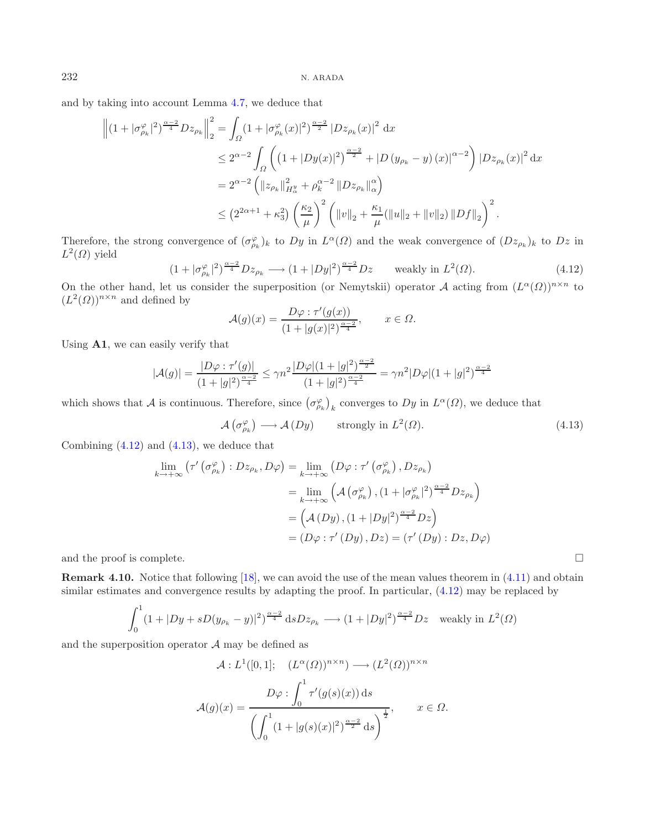<span id="page-13-1"></span>and by taking into account Lemma [4.7,](#page-11-2) we deduce that

$$
\left\| (1 + |\sigma_{\rho_k}^{\varphi}|^2)^{\frac{\alpha-2}{4}} D z_{\rho_k} \right\|_2^2 = \int_{\Omega} (1 + |\sigma_{\rho_k}^{\varphi}(x)|^2)^{\frac{\alpha-2}{2}} |D z_{\rho_k}(x)|^2 dx
$$
  
\n
$$
\leq 2^{\alpha-2} \int_{\Omega} \left( (1 + |D y(x)|^2)^{\frac{\alpha-2}{2}} + |D (y_{\rho_k} - y)(x)|^{\alpha-2} \right) |D z_{\rho_k}(x)|^2 dx
$$
  
\n
$$
= 2^{\alpha-2} \left( \|z_{\rho_k}\|_{H^y_\alpha}^2 + \rho_k^{\alpha-2} \|D z_{\rho_k}\|_{\alpha}^{\alpha} \right)
$$
  
\n
$$
\leq (2^{2\alpha+1} + \kappa_3^2) \left( \frac{\kappa_2}{\mu} \right)^2 \left( \|v\|_2 + \frac{\kappa_1}{\mu} (\|u\|_2 + \|v\|_2) \|D f\|_2 \right)^2.
$$

Therefore, the strong convergence of  $(\sigma_{\rho_k}^{\varphi})_k$  to Dy in  $L^{\alpha}(\Omega)$  and the weak convergence of  $(Dz_{\rho_k})_k$  to Dz in  $L^2(\Omega)$  vield  $L^2(\Omega)$  yield

$$
(1+|\sigma_{\rho_k}^{\varphi}|^2)^{\frac{\alpha-2}{4}}Dz_{\rho_k} \longrightarrow (1+|Dy|^2)^{\frac{\alpha-2}{4}}Dz \quad \text{ weakly in } L^2(\Omega). \tag{4.12}
$$

On the other hand, let us consider the superposition (or Nemytskii) operator A acting from  $(L^{\alpha}(\Omega))^{n \times n}$  to  $(L^2(\Omega))^{n \times n}$  and defined by  $(L^2(\Omega))^{n \times n}$  and defined by

<span id="page-13-2"></span>
$$
\mathcal{A}(g)(x) = \frac{D\varphi : \tau'(g(x))}{(1+|g(x)|^2)^{\frac{\alpha-2}{4}}}, \qquad x \in \Omega.
$$

Using **A1**, we can easily verify that

$$
|\mathcal{A}(g)| = \frac{|D\varphi : \tau'(g)|}{(1+|g|^2)^{\frac{\alpha-2}{4}}} \le \gamma n^2 \frac{|D\varphi|(1+|g|^2)^{\frac{\alpha-2}{2}}}{(1+|g|^2)^{\frac{\alpha-2}{4}}} = \gamma n^2 |D\varphi|(1+|g|^2)^{\frac{\alpha-2}{4}}
$$

which shows that A is continuous. Therefore, since  $(\sigma_{\rho_k}^{\varphi})_k$  converges to Dy in  $L^{\alpha}(\Omega)$ , we deduce that

$$
\mathcal{A}\left(\sigma_{\rho_k}^{\varphi}\right) \longrightarrow \mathcal{A}\left(Dy\right) \qquad \text{strongly in } L^2(\Omega). \tag{4.13}
$$

 $\Box$ 

Combining [\(4.12\)](#page-13-1) and [\(4.13\)](#page-13-2), we deduce that

$$
\lim_{k \to +\infty} \left( \tau' \left( \sigma_{\rho_k}^{\varphi} \right) : Dz_{\rho_k}, D\varphi \right) = \lim_{k \to +\infty} \left( D\varphi : \tau' \left( \sigma_{\rho_k}^{\varphi} \right), Dz_{\rho_k} \right)
$$
\n
$$
= \lim_{k \to +\infty} \left( \mathcal{A} \left( \sigma_{\rho_k}^{\varphi} \right), \left( 1 + |\sigma_{\rho_k}^{\varphi}|^2 \right)^{\frac{\alpha-2}{4}} Dz_{\rho_k} \right)
$$
\n
$$
= \left( \mathcal{A} \left( Dy \right), \left( 1 + |Dy|^2 \right)^{\frac{\alpha-2}{4}} Dz \right)
$$
\n
$$
= \left( D\varphi : \tau' \left( Dy \right), Dz \right) = \left( \tau' \left( Dy \right) : Dz, D\varphi \right)
$$

and the proof is complete.

**Remark 4.10.** Notice that following [\[18\]](#page-19-3), we can avoid the use of the mean values theorem in [\(4.11\)](#page-12-1) and obtain similar estimates and convergence results by adapting the proof. In particular, [\(4.12\)](#page-13-1) may be replaced by

$$
\int_0^1 (1+|Dy+sD(y_{\rho_k}-y)|^2)^{\frac{\alpha-2}{4}} ds Dz_{\rho_k} \longrightarrow (1+|Dy|^2)^{\frac{\alpha-2}{4}} Dz \quad \text{weakly in } L^2(\Omega)
$$

<span id="page-13-0"></span>and the superposition operator  $A$  may be defined as

$$
\mathcal{A}: L^1([0,1]; \quad (L^{\alpha}(\Omega))^{n \times n}) \longrightarrow (L^2(\Omega))^{n \times n}
$$

$$
\mathcal{A}(g)(x) = \frac{D\varphi : \int_0^1 \tau'(g(s)(x)) ds}{\left(\int_0^1 (1+|g(s)(x)|^2)^{\frac{\alpha-2}{2}} ds\right)^{\frac{1}{2}}}, \qquad x \in \Omega.
$$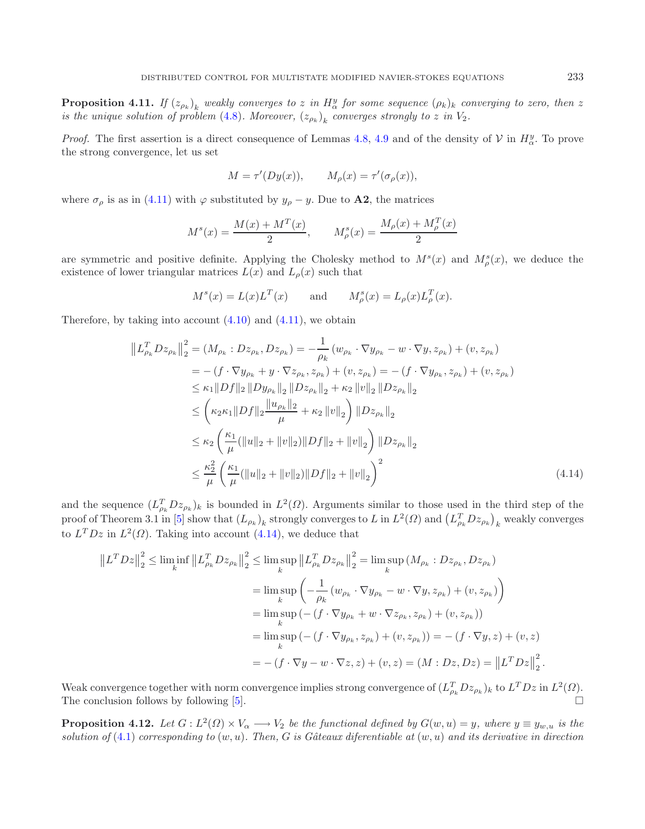**Proposition 4.11.** *If*  $(z_{\rho_k})_k$  *weakly converges to* z *in*  $H_y^y$  *for some sequence*  $(\rho_k)_k$  *converging to zero, then* z *is the unique solution of problem (A.S.) Moreover*  $(z_1)$  *converges strongly to* z *in*  $V$ *is the unique solution of problem* [\(4.8\)](#page-10-3)*. Moreover,*  $(z_{\rho_k})_k$  *converges strongly to* z *in*  $V_2$ *.* 

*Proof.* The first assertion is a direct consequence of Lemmas [4.8,](#page-12-2) [4.9](#page-12-0) and of the density of  $V$  in  $H^y_\alpha$ . To prove the strong convergence let us set the strong convergence, let us set

<span id="page-14-0"></span>
$$
M = \tau'(Dy(x)), \qquad M_{\rho}(x) = \tau'(\sigma_{\rho}(x)),
$$

where  $\sigma_{\rho}$  is as in [\(4.11\)](#page-12-1) with  $\varphi$  substituted by  $y_{\rho} - y$ . Due to **A2**, the matrices

$$
M^{s}(x) = \frac{M(x) + M^{T}(x)}{2}, \qquad M^{s}_{\rho}(x) = \frac{M_{\rho}(x) + M^{T}_{\rho}(x)}{2}
$$

are symmetric and positive definite. Applying the Cholesky method to  $M^s(x)$  and  $M^s_{\rho}(x)$ , we deduce the existence of lower triangular matrices  $L(x)$  and  $L(x)$  such that existence of lower triangular matrices  $L(x)$  and  $L_{\rho}(x)$  such that

$$
M^{s}(x) = L(x)L^{T}(x) \quad \text{and} \quad M^{s}_{\rho}(x) = L_{\rho}(x)L^{T}_{\rho}(x).
$$

Therefore, by taking into account  $(4.10)$  and  $(4.11)$ , we obtain

$$
\left\| L_{\rho_k}^T D z_{\rho_k} \right\|_2^2 = (M_{\rho_k} : D z_{\rho_k}, D z_{\rho_k}) = -\frac{1}{\rho_k} (w_{\rho_k} \cdot \nabla y_{\rho_k} - w \cdot \nabla y, z_{\rho_k}) + (v, z_{\rho_k})
$$
  
\n
$$
= -(f \cdot \nabla y_{\rho_k} + y \cdot \nabla z_{\rho_k}, z_{\rho_k}) + (v, z_{\rho_k}) = -(f \cdot \nabla y_{\rho_k}, z_{\rho_k}) + (v, z_{\rho_k})
$$
  
\n
$$
\leq \kappa_1 \|Df\|_2 \|Dy_{\rho_k}\|_2 \|Dz_{\rho_k}\|_2 + \kappa_2 \|v\|_2 \|Dz_{\rho_k}\|_2
$$
  
\n
$$
\leq \left(\kappa_2 \kappa_1 \|Df\|_2 \frac{\|u_{\rho_k}\|_2}{\mu} + \kappa_2 \|v\|_2\right) \|Dz_{\rho_k}\|_2
$$
  
\n
$$
\leq \kappa_2 \left(\frac{\kappa_1}{\mu} (\|u\|_2 + \|v\|_2) \|Df\|_2 + \|v\|_2\right) \|Dz_{\rho_k}\|_2
$$
  
\n
$$
\leq \frac{\kappa_2^2}{\mu} \left(\frac{\kappa_1}{\mu} (\|u\|_2 + \|v\|_2) \|Df\|_2 + \|v\|_2\right)^2
$$
 (4.14)

and the sequence  $(L_{\mu_k}^T D z_{\rho_k})_k$  is bounded in  $L^2(\Omega)$ . Arguments similar to those used in the third step of the proof of Theorem 3.1 in [5] show that  $(L)$  at repeaty converges to  $L$  in  $L^2(\Omega)$  and  $(L^T D z)$  argably proof of Theorem 3.1 in [\[5\]](#page-19-12) show that  $(L_{\rho_k})_k$  strongly converges to L in  $L^2(\Omega)$  and  $(L_{\rho_k}^T D z_{\rho_k})_k$  weakly converges to  $L^T Dz$  in  $L^2(\Omega)$ . Taking into account [\(4.14\)](#page-14-0), we deduce that

$$
||L^T Dz||_2^2 \le \liminf_k ||L_{\rho_k}^T Dz_{\rho_k}||_2^2 \le \limsup_k ||L_{\rho_k}^T Dz_{\rho_k}||_2^2 = \limsup_k (M_{\rho_k} : Dz_{\rho_k}, Dz_{\rho_k})
$$
  
\n
$$
= \limsup_k \left( -\frac{1}{\rho_k} (w_{\rho_k} \cdot \nabla y_{\rho_k} - w \cdot \nabla y, z_{\rho_k}) + (v, z_{\rho_k}) \right)
$$
  
\n
$$
= \limsup_k (- (f \cdot \nabla y_{\rho_k} + w \cdot \nabla z_{\rho_k}, z_{\rho_k}) + (v, z_{\rho_k}))
$$
  
\n
$$
= \limsup_k (- (f \cdot \nabla y_{\rho_k}, z_{\rho_k}) + (v, z_{\rho_k})) = -(f \cdot \nabla y, z) + (v, z)
$$
  
\n
$$
= -(f \cdot \nabla y - w \cdot \nabla z, z) + (v, z) = (M : Dz, Dz) = ||L^T Dz||_2^2.
$$

Weak convergence together with norm convergence implies strong convergence of  $(L_{\rho_k}^T D z_{\rho_k})_k$  to  $L^T D z$  in  $L^2(\Omega)$ .<br>The conclusion follows by following [5] The conclusion follows by following [\[5\]](#page-19-12).  $\Box$ 

<span id="page-14-1"></span>**Proposition 4.12.** *Let*  $G: L^2(\Omega) \times V_\alpha \longrightarrow V_2$  *be the functional defined by*  $G(w, u) = y$ *, where*  $y \equiv y_{w,u}$  *is the solution of*  $(4.1)$  *corresponding to*  $(w, u)$ *. Then,* G *is Gâteaux diferentiable at*  $(w, u)$  *and its derivative in direction*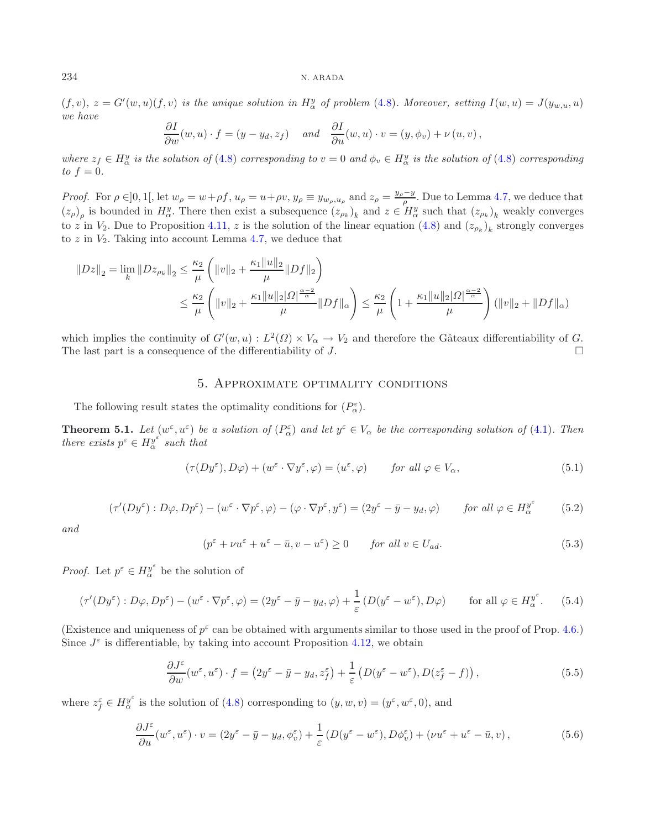$(f, v)$ ,  $z = G'(w, u)(f, v)$  *is the unique solution in*  $H^y_\alpha$  *of problem* [\(4.8\)](#page-10-3)*. Moreover, setting*  $I(w, u) = J(y_{w, u}, u)$ *we have*

$$
\frac{\partial I}{\partial w}(w, u) \cdot f = (y - y_d, z_f) \quad \text{and} \quad \frac{\partial I}{\partial u}(w, u) \cdot v = (y, \phi_v) + \nu(u, v),
$$

*where*  $z_f \in H^y_\alpha$  *is the solution of* [\(4.8\)](#page-10-3) *corresponding to*  $v = 0$  *and*  $\phi_v \in H^y_\alpha$  *is the solution of* (4.8) *corresponding* to  $f = 0$  $to f = 0.$ 

*Proof.* For  $\rho \in ]0,1[$ , let  $w_{\rho} = w + \rho f, u_{\rho} = u + \rho v, y_{\rho} \equiv y_{w_{\rho},u_{\rho}}$  and  $z_{\rho} = \frac{y_{\rho} - y}{\rho}$ . Due to Lemma [4.7,](#page-11-2) we deduce that  $(z_{\rho})$  is bounded in  $H^y$ . There then exist a subsequence  $(z_{\rho})$  and  $z \in H^y$  suc  $(z_\rho)_\rho$  is bounded in  $H^y_\alpha$ . There then exist a subsequence  $(z_{\rho_k})_k$  and  $z \in H^y_\alpha$  such that  $(z_{\rho_k})_k$  weakly converges to z in  $V_2$ . Due to Proposition [4.11,](#page-13-0) z is the solution of the linear equation [\(4.8\)](#page-10-3) and  $(z_{\rho_k})_k$  strongly converges to  $z$  in  $V_2$ . Taking into account Lemma [4.7,](#page-11-2) we deduce that

<span id="page-15-6"></span>
$$
||Dz||_2 = \lim_{k} ||Dz_{\rho_k}||_2 \le \frac{\kappa_2}{\mu} \left( ||v||_2 + \frac{\kappa_1 ||u||_2}{\mu} ||Df||_2 \right)
$$
  

$$
\le \frac{\kappa_2}{\mu} \left( ||v||_2 + \frac{\kappa_1 ||u||_2 |\Omega|^{\frac{\alpha-2}{\alpha}}}{\mu} ||Df||_{\alpha} \right) \le \frac{\kappa_2}{\mu} \left( 1 + \frac{\kappa_1 ||u||_2 |\Omega|^{\frac{\alpha-2}{\alpha}}}{\mu} \right) (||v||_2 + ||Df||_{\alpha})
$$

<span id="page-15-5"></span><span id="page-15-4"></span><span id="page-15-0"></span>which implies the continuity of  $G'(w, u) : L^2(\Omega) \times V_\alpha \to V_2$  and therefore the Gâteaux differentiability of G.<br>The last part is a consequence of the differentiability of  $\Gamma$ The last part is a consequence of the differentiability of  $J$ .

## <span id="page-15-1"></span>5. Approximate optimality conditions

The following result states the optimality conditions for  $(P_{\alpha}^{\varepsilon})$ .

**Theorem 5.1.** *Let*  $(w^{\varepsilon}, u^{\varepsilon})$  *be a solution of*  $(P^{\varepsilon}_{\alpha})$  *and let*  $y^{\varepsilon} \in V_{\alpha}$  *be the corresponding solution of* [\(4.1\)](#page-6-1). Then<br>there exists  $v^{\varepsilon} \in H y^{\varepsilon}$  such that *there exists*  $p^{\varepsilon} \in H^{\mathcal{Y}^{\varepsilon}}_{\alpha}$  *such that* 

$$
(\tau(Dy^{\varepsilon}), D\varphi) + (w^{\varepsilon} \cdot \nabla y^{\varepsilon}, \varphi) = (u^{\varepsilon}, \varphi) \qquad \text{for all } \varphi \in V_{\alpha}, \tag{5.1}
$$

$$
(\tau'(Dy^{\varepsilon}): D\varphi, Dp^{\varepsilon}) - (w^{\varepsilon} \cdot \nabla p^{\varepsilon}, \varphi) - (\varphi \cdot \nabla p^{\varepsilon}, y^{\varepsilon}) = (2y^{\varepsilon} - \bar{y} - y_d, \varphi) \qquad \text{for all } \varphi \in H_{\alpha}^{y^{\varepsilon}} \tag{5.2}
$$

*and*

<span id="page-15-3"></span><span id="page-15-2"></span>
$$
(p^{\varepsilon} + \nu u^{\varepsilon} + u^{\varepsilon} - \bar{u}, v - u^{\varepsilon}) \ge 0 \qquad \text{for all } v \in U_{ad}.
$$
 (5.3)

*Proof.* Let  $p^{\varepsilon} \in H^{\mathcal{Y}^{\varepsilon}}_{\alpha}$  be the solution of

$$
(\tau'(Dy^{\varepsilon}): D\varphi, Dp^{\varepsilon}) - (w^{\varepsilon} \cdot \nabla p^{\varepsilon}, \varphi) = (2y^{\varepsilon} - \bar{y} - y_d, \varphi) + \frac{1}{\varepsilon} (D(y^{\varepsilon} - w^{\varepsilon}), D\varphi) \quad \text{for all } \varphi \in H_{\alpha}^{y^{\varepsilon}}.
$$
 (5.4)

(Existence and uniqueness of  $p^{\epsilon}$  can be obtained with arguments similar to those used in the proof of Prop. [4.6.](#page-10-4)) Since  $J^{\varepsilon}$  is differentiable, by taking into account Proposition [4.12,](#page-14-1) we obtain

$$
\frac{\partial J^{\varepsilon}}{\partial w}(w^{\varepsilon}, u^{\varepsilon}) \cdot f = \left(2y^{\varepsilon} - \bar{y} - y_d, z_f^{\varepsilon}\right) + \frac{1}{\varepsilon} \left(D(y^{\varepsilon} - w^{\varepsilon}), D(z_f^{\varepsilon} - f)\right),\tag{5.5}
$$

where  $z_f^{\varepsilon} \in H^y_{\alpha}$  is the solution of [\(4.8\)](#page-10-3) corresponding to  $(y, w, v) = (y^{\varepsilon}, w^{\varepsilon}, 0)$ , and

$$
\frac{\partial J^{\varepsilon}}{\partial u}(w^{\varepsilon}, u^{\varepsilon}) \cdot v = (2y^{\varepsilon} - \bar{y} - y_d, \phi_v^{\varepsilon}) + \frac{1}{\varepsilon} \left( D(y^{\varepsilon} - w^{\varepsilon}), D\phi_v^{\varepsilon} \right) + \left( \nu u^{\varepsilon} + u^{\varepsilon} - \bar{u}, v \right),\tag{5.6}
$$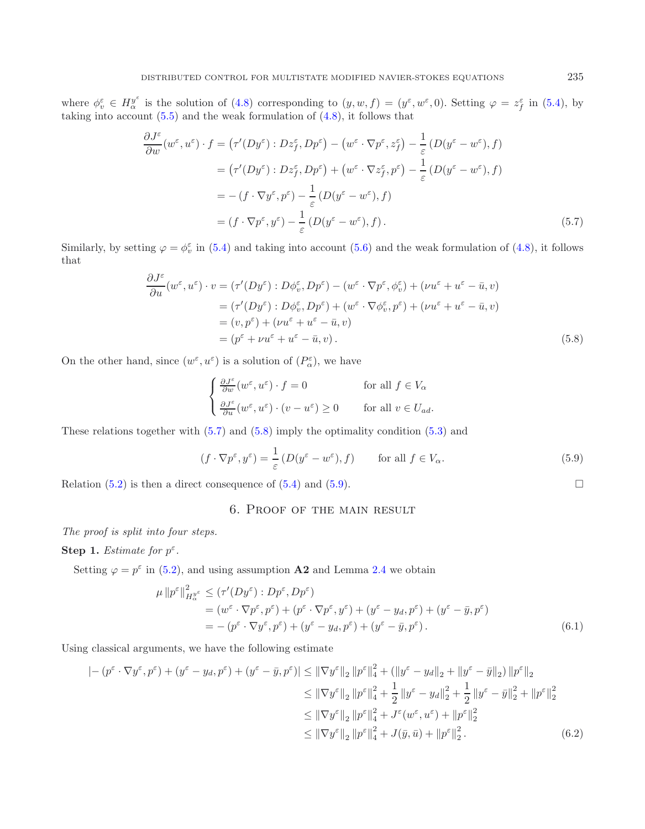where  $\phi_{\tilde{v}}^{\varepsilon} \in H_{\alpha}^{y^{\varepsilon}}$  is the solution of [\(4.8\)](#page-10-3) corresponding to  $(y, w, f) = (y^{\varepsilon}, w^{\varepsilon}, 0)$ . Setting  $\varphi = z^{\varepsilon}_{f}$  in [\(5.4\)](#page-15-1), by taking into account (5.5) and the weak formulation of (4.8) it follows tha taking into account [\(5.5\)](#page-15-2) and the weak formulation of [\(4.8\)](#page-10-3), it follows that

<span id="page-16-1"></span>
$$
\frac{\partial J^{\varepsilon}}{\partial w}(w^{\varepsilon}, u^{\varepsilon}) \cdot f = (\tau'(Dy^{\varepsilon}) : Dz_{f}^{\varepsilon}, Dp^{\varepsilon}) - (w^{\varepsilon} \cdot \nabla p^{\varepsilon}, z_{f}^{\varepsilon}) - \frac{1}{\varepsilon} (D(y^{\varepsilon} - w^{\varepsilon}), f)
$$
  
\n
$$
= (\tau'(Dy^{\varepsilon}) : Dz_{f}^{\varepsilon}, Dp^{\varepsilon}) + (w^{\varepsilon} \cdot \nabla z_{f}^{\varepsilon}, p^{\varepsilon}) - \frac{1}{\varepsilon} (D(y^{\varepsilon} - w^{\varepsilon}), f)
$$
  
\n
$$
= -(f \cdot \nabla y^{\varepsilon}, p^{\varepsilon}) - \frac{1}{\varepsilon} (D(y^{\varepsilon} - w^{\varepsilon}), f)
$$
  
\n
$$
= (f \cdot \nabla p^{\varepsilon}, y^{\varepsilon}) - \frac{1}{\varepsilon} (D(y^{\varepsilon} - w^{\varepsilon}), f).
$$
 (5.7)

Similarly, by setting  $\varphi = \phi_v^{\varepsilon}$  in [\(5.4\)](#page-15-1) and taking into account [\(5.6\)](#page-15-3) and the weak formulation of [\(4.8\)](#page-10-3), it follows that

$$
\frac{\partial J^{\varepsilon}}{\partial u}(w^{\varepsilon}, u^{\varepsilon}) \cdot v = (\tau'(Dy^{\varepsilon}) : D\phi_v^{\varepsilon}, Dp^{\varepsilon}) - (w^{\varepsilon} \cdot \nabla p^{\varepsilon}, \phi_v^{\varepsilon}) + (\nu u^{\varepsilon} + u^{\varepsilon} - \bar{u}, v)
$$
  
\n
$$
= (\tau'(Dy^{\varepsilon}) : D\phi_v^{\varepsilon}, Dp^{\varepsilon}) + (w^{\varepsilon} \cdot \nabla \phi_v^{\varepsilon}, p^{\varepsilon}) + (\nu u^{\varepsilon} + u^{\varepsilon} - \bar{u}, v)
$$
  
\n
$$
= (v, p^{\varepsilon}) + (\nu u^{\varepsilon} + u^{\varepsilon} - \bar{u}, v)
$$
  
\n
$$
= (p^{\varepsilon} + \nu u^{\varepsilon} + u^{\varepsilon} - \bar{u}, v).
$$
 (5.8)

On the other hand, since  $(w^{\varepsilon}, u^{\varepsilon})$  is a solution of  $(P^{\varepsilon}_{\alpha})$ , we have

<span id="page-16-3"></span>
$$
\begin{cases} \frac{\partial J^{\varepsilon}}{\partial w}(w^{\varepsilon}, u^{\varepsilon}) \cdot f = 0 & \text{for all } f \in V_{\alpha} \\ \frac{\partial J^{\varepsilon}}{\partial u}(w^{\varepsilon}, u^{\varepsilon}) \cdot (v - u^{\varepsilon}) \ge 0 & \text{for all } v \in U_{ad}. \end{cases}
$$

These relations together with [\(5.7\)](#page-16-1) and [\(5.8\)](#page-16-2) imply the optimality condition [\(5.3\)](#page-15-4) and

$$
(f \cdot \nabla p^{\varepsilon}, y^{\varepsilon}) = \frac{1}{\varepsilon} \left( D(y^{\varepsilon} - w^{\varepsilon}), f \right) \qquad \text{for all } f \in V_{\alpha}.
$$
 (5.9)

<span id="page-16-0"></span>Relation  $(5.2)$  is then a direct consequence of  $(5.4)$  and  $(5.9)$ .

# 6. Proof of the main result

*The proof is split into four steps.*

### **Step 1.** *Estimate for*  $p^{\varepsilon}$ *.*

Setting  $\varphi = p^{\varepsilon}$  in [\(5.2\)](#page-15-5), and using assumption **A2** and Lemma [2.4](#page-3-2) we obtain

$$
\mu \|p^{\varepsilon}\|_{H^{\nu^{\varepsilon}}_{\alpha}}^{2} \leq (\tau'(Dy^{\varepsilon}) : Dp^{\varepsilon}, Dp^{\varepsilon})
$$
  
=  $(w^{\varepsilon} \cdot \nabla p^{\varepsilon}, p^{\varepsilon}) + (p^{\varepsilon} \cdot \nabla p^{\varepsilon}, y^{\varepsilon}) + (y^{\varepsilon} - y_{d}, p^{\varepsilon}) + (y^{\varepsilon} - \bar{y}, p^{\varepsilon})$   
=  $-(p^{\varepsilon} \cdot \nabla y^{\varepsilon}, p^{\varepsilon}) + (y^{\varepsilon} - y_{d}, p^{\varepsilon}) + (y^{\varepsilon} - \bar{y}, p^{\varepsilon}).$  (6.1)

Using classical arguments, we have the following estimate

$$
|-(p^{\varepsilon} \cdot \nabla y^{\varepsilon}, p^{\varepsilon}) + (y^{\varepsilon} - y_d, p^{\varepsilon}) + (y^{\varepsilon} - \bar{y}, p^{\varepsilon})| \leq ||\nabla y^{\varepsilon}||_2 ||p^{\varepsilon}||_4^2 + (||y^{\varepsilon} - y_d||_2 + ||y^{\varepsilon} - \bar{y}||_2) ||p^{\varepsilon}||_2
$$
  
\n
$$
\leq ||\nabla y^{\varepsilon}||_2 ||p^{\varepsilon}||_4^2 + \frac{1}{2} ||y^{\varepsilon} - y_d||_2^2 + \frac{1}{2} ||y^{\varepsilon} - \bar{y}||_2^2 + ||p^{\varepsilon}||_2^2
$$
  
\n
$$
\leq ||\nabla y^{\varepsilon}||_2 ||p^{\varepsilon}||_4^2 + J^{\varepsilon}(w^{\varepsilon}, u^{\varepsilon}) + ||p^{\varepsilon}||_2^2
$$
  
\n
$$
\leq ||\nabla y^{\varepsilon}||_2 ||p^{\varepsilon}||_4^2 + J(\bar{y}, \bar{u}) + ||p^{\varepsilon}||_2^2.
$$
 (6.2)

<span id="page-16-5"></span><span id="page-16-4"></span><span id="page-16-2"></span> $\Box$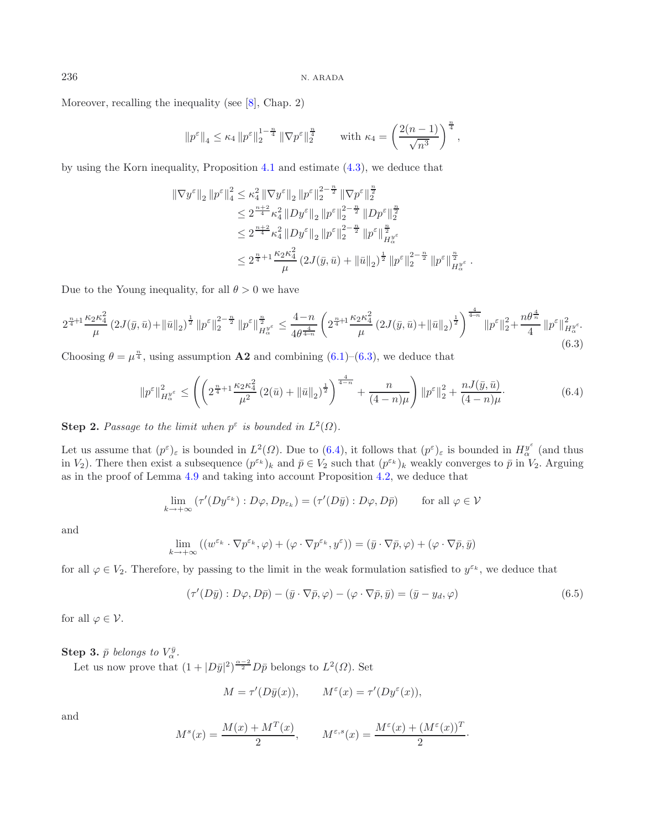Moreover, recalling the inequality (see [\[8](#page-19-15)], Chap. 2)

<span id="page-17-1"></span><span id="page-17-0"></span>
$$
||p^{\varepsilon}||_4 \leq \kappa_4 ||p^{\varepsilon}||_2^{1-\frac{n}{4}} ||\nabla p^{\varepsilon}||_2^{\frac{n}{4}} \quad \text{with } \kappa_4 = \left(\frac{2(n-1)}{\sqrt{n^3}}\right)^{\frac{n}{4}},
$$

by using the Korn inequality, Proposition [4.1](#page-6-2) and estimate [\(4.3\)](#page-7-1), we deduce that

$$
\begin{aligned} \|\nabla y^{\varepsilon}\|_{2} \left\|p^{\varepsilon}\right\|_{4}^{2} &\leq \kappa_{4}^{2} \left\|\nabla y^{\varepsilon}\right\|_{2} \left\|p^{\varepsilon}\right\|_{2}^{2-\frac{n}{2}} \left\|\nabla p^{\varepsilon}\right\|_{2}^{\frac{n}{2}} \\ &\leq 2^{\frac{n+2}{4}} \kappa_{4}^{2} \left\|D y^{\varepsilon}\right\|_{2} \left\|p^{\varepsilon}\right\|_{2}^{2-\frac{n}{2}} \left\|D p^{\varepsilon}\right\|_{2}^{\frac{n}{2}} \\ &\leq 2^{\frac{n+2}{4}} \kappa_{4}^{2} \left\|D y^{\varepsilon}\right\|_{2} \left\|p^{\varepsilon}\right\|_{2}^{2-\frac{n}{2}} \left\|p^{\varepsilon}\right\|_{H_{\alpha}^{y_{\varepsilon}}}^{\frac{n}{2}} \\ &\leq 2^{\frac{n}{4}+1} \frac{\kappa_{2} \kappa_{4}^{2}}{\mu} \left(2 J(\bar{y}, \bar{u}) + \left\|\bar{u}\right\|_{2}\right)^{\frac{1}{2}} \left\|p^{\varepsilon}\right\|_{2}^{2-\frac{n}{2}} \left\|p^{\varepsilon}\right\|_{H_{\alpha}^{y_{\varepsilon}}}^{\frac{n}{2}} \end{aligned}
$$

Due to the Young inequality, for all  $\theta > 0$  we have

$$
2^{\frac{n}{4}+1} \frac{\kappa_2 \kappa_4^2}{\mu} \left(2J(\bar{y}, \bar{u}) + \|\bar{u}\|_2\right)^{\frac{1}{2}} \left\|p^{\varepsilon}\right\|_2^{2-\frac{n}{2}} \left\|p^{\varepsilon}\right\|_{H_{\alpha}^{\psi^{\varepsilon}}}^{\frac{n}{2}} \le \frac{4-n}{4\theta^{\frac{4}{4-n}}} \left(2^{\frac{n}{4}+1} \frac{\kappa_2 \kappa_4^2}{\mu} \left(2J(\bar{y}, \bar{u}) + \|\bar{u}\|_2\right)^{\frac{1}{2}}\right)^{\frac{4}{4-n}} \left\|p^{\varepsilon}\right\|_2^2 + \frac{n\theta^{\frac{4}{n}}}{4} \left\|p^{\varepsilon}\right\|_{H_{\alpha}^{\psi^{\varepsilon}}}^2. \tag{6.3}
$$

Choosing  $\theta = \mu^{\frac{n}{4}}$ , using assumption **A2** and combining [\(6.1\)](#page-16-4)–[\(6.3\)](#page-17-0), we deduce that

$$
\|p^{\varepsilon}\|_{H^{\frac{v^{\varepsilon}}{\alpha}}}^{2} \leq \left( \left( 2^{\frac{n}{4} + 1} \frac{\kappa_{2} \kappa_{4}^{2}}{\mu^{2}} \left( 2(\bar{u}) + \|\bar{u}\|_{2} \right)^{\frac{1}{2}} \right)^{\frac{4}{4-n}} + \frac{n}{(4-n)\mu} \right) \|p^{\varepsilon}\|_{2}^{2} + \frac{n J(\bar{y}, \bar{u})}{(4-n)\mu}.
$$
 (6.4)

**Step 2.** *Passage to the limit when*  $p^{\varepsilon}$  *is bounded in*  $L^2(\Omega)$ *.* 

Let us assume that  $(p^{\varepsilon})_{\varepsilon}$  is bounded in  $L^2(\Omega)$ . Due to  $(6.4)$ , it follows that  $(p^{\varepsilon})_{\varepsilon}$  is bounded in  $H^{\mathcal{Y}^{\varepsilon}}_{\alpha}$  (and thus in  $V_{\alpha}$ ). There then exist a subsequence  $(p^{\varepsilon_k})$ , and  $\bar{n} \in V_{$ in  $V_2$ ). There then exist a subsequence  $(p^{\varepsilon_k})_k$  and  $\bar{p} \in V_2$  such that  $(p^{\varepsilon_k})_k$  weakly converges to  $\bar{p}$  in  $V_2$ . Arguing as in the proof of Lemma [4.9](#page-12-0) and taking into account Proposition [4.2,](#page-7-2) we deduce that

<span id="page-17-2"></span>
$$
\lim_{k \to +\infty} \left( \tau'(Dy^{\varepsilon_k}) : D\varphi, Dp_{\varepsilon_k} \right) = \left( \tau'(D\bar{y}) : D\varphi, D\bar{p} \right) \qquad \text{for all } \varphi \in \mathcal{V}
$$

and

$$
\lim_{k \to +\infty} ((w^{\varepsilon_k} \cdot \nabla p^{\varepsilon_k}, \varphi) + (\varphi \cdot \nabla p^{\varepsilon_k}, y^{\varepsilon})) = (\bar{y} \cdot \nabla \bar{p}, \varphi) + (\varphi \cdot \nabla \bar{p}, \bar{y})
$$

for all  $\varphi \in V_2$ . Therefore, by passing to the limit in the weak formulation satisfied to  $y^{\varepsilon_k}$ , we deduce that

$$
(\tau'(D\bar{y}): D\varphi, D\bar{p}) - (\bar{y} \cdot \nabla \bar{p}, \varphi) - (\varphi \cdot \nabla \bar{p}, \bar{y}) = (\bar{y} - y_d, \varphi)
$$
(6.5)

for all  $\varphi \in \mathcal{V}$ .

**Step 3.**  $\bar{p}$  *belongs to*  $V_{\alpha}^{\bar{y}}$ .

Let us now prove that  $(1+|D\bar{y}|^2)^{\frac{\alpha-2}{2}}D\bar{p}$  belongs to  $L^2(\Omega)$ . Set

$$
M = \tau'(D\bar{y}(x)), \qquad M^{\varepsilon}(x) = \tau'(Dy^{\varepsilon}(x)),
$$

and

$$
M^s(x) = \frac{M(x) + M^T(x)}{2}, \qquad M^{\varepsilon, s}(x) = \frac{M^{\varepsilon}(x) + (M^{\varepsilon}(x))^T}{2}.
$$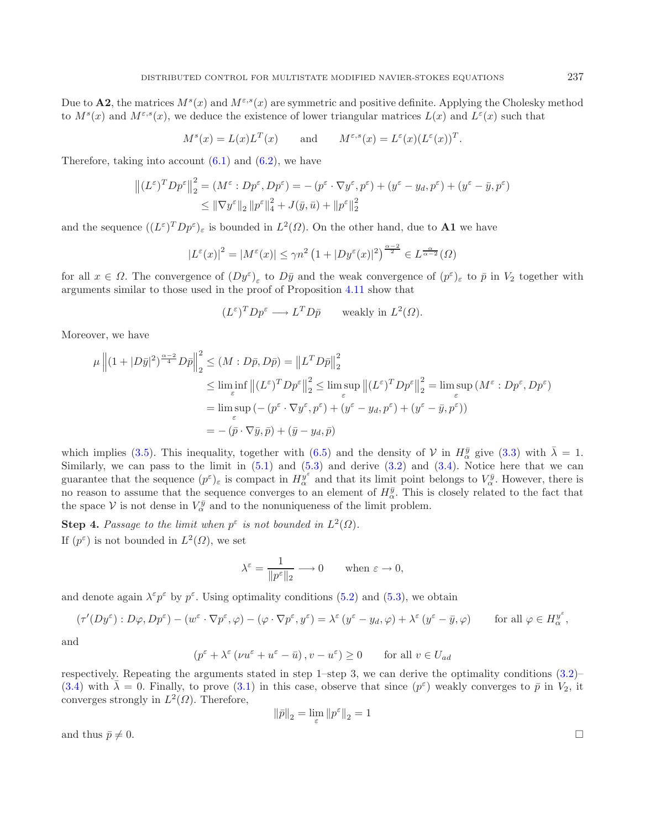Due to **A2**, the matrices  $M^s(x)$  and  $M^{\epsilon,s}(x)$  are symmetric and positive definite. Applying the Cholesky method to  $M^s(x)$  and  $M^{\varepsilon,s}(x)$ , we deduce the existence of lower triangular matrices  $L(x)$  and  $L^{\varepsilon}(x)$  such that

$$
M^s(x) = L(x)L^T(x)
$$
 and  $M^{\varepsilon,s}(x) = L^{\varepsilon}(x)(L^{\varepsilon}(x))^T$ .

Therefore, taking into account  $(6.1)$  and  $(6.2)$ , we have

$$
\left\| (L^{\varepsilon})^T D p^{\varepsilon} \right\|_2^2 = (M^{\varepsilon} : D p^{\varepsilon}, D p^{\varepsilon}) = -(p^{\varepsilon} \cdot \nabla y^{\varepsilon}, p^{\varepsilon}) + (y^{\varepsilon} - y_d, p^{\varepsilon}) + (y^{\varepsilon} - \bar{y}, p^{\varepsilon})
$$
  

$$
\leq \|\nabla y^{\varepsilon}\|_2 \|p^{\varepsilon}\|_4^2 + J(\bar{y}, \bar{u}) + \|p^{\varepsilon}\|_2^2
$$

and the sequence  $((L^{\varepsilon})^T D p^{\varepsilon})_{\varepsilon}$  is bounded in  $L^2(\Omega)$ . On the other hand, due to **A1** we have

$$
|L^{\varepsilon}(x)|^2 = |M^{\varepsilon}(x)| \le \gamma n^2 \left(1 + |Dy^{\varepsilon}(x)|^2\right)^{\frac{\alpha - 2}{2}} \in L^{\frac{\alpha}{\alpha - 2}}(\Omega)
$$

for all  $x \in \Omega$ . The convergence of  $(Dy^{\varepsilon})_{\varepsilon}$  to  $D\bar{y}$  and the weak convergence of  $(p^{\varepsilon})_{\varepsilon}$  to  $\bar{p}$  in  $V_2$  together with arguments similar to those used in the proof of Proposition [4.11](#page-13-0) show that

$$
(L^{\varepsilon})^T D p^{\varepsilon} \longrightarrow L^T D \bar{p} \quad \text{ weakly in } L^2(\Omega).
$$

Moreover, we have

$$
\mu \left\| (1+|D\bar{y}|^2)^{\frac{\alpha-2}{4}} D\bar{p} \right\|_2^2 \le (M : D\bar{p}, D\bar{p}) = \left\| L^T D\bar{p} \right\|_2^2
$$
  
\n
$$
\le \liminf_{\varepsilon} \left\| (L^{\varepsilon})^T Dp^{\varepsilon} \right\|_2^2 \le \limsup_{\varepsilon} \left\| (L^{\varepsilon})^T Dp^{\varepsilon} \right\|_2^2 = \limsup_{\varepsilon} (M^{\varepsilon} : Dp^{\varepsilon}, Dp^{\varepsilon})
$$
  
\n
$$
= \limsup_{\varepsilon} \left( - (p^{\varepsilon} \cdot \nabla y^{\varepsilon}, p^{\varepsilon}) + (y^{\varepsilon} - y_d, p^{\varepsilon}) + (y^{\varepsilon} - \bar{y}, p^{\varepsilon}) \right)
$$
  
\n
$$
= -(\bar{p} \cdot \nabla \bar{y}, \bar{p}) + (\bar{y} - y_d, \bar{p})
$$

which implies [\(3.5\)](#page-5-0). This inequality, together with [\(6.5\)](#page-17-2) and the density of V in  $H_{\alpha}^{\bar{y}}$  give [\(3.3\)](#page-4-2) with  $\bar{\lambda} = 1$ .<br>Similarly we can pass to the limit in (5.1) and (5.3) and derive (3.2) and (3.4). Notice here tha Similarly, we can pass to the limit in  $(5.1)$  and  $(5.3)$  and derive  $(3.2)$  and  $(3.4)$ . Notice here that we can guarantee that the sequence  $(p^{\varepsilon})_{\varepsilon}$  is compact in  $H_{\alpha}^{y^{\varepsilon}}$  and that its limit point belongs to  $V_{\alpha}^{\bar{y}}$ . However, there is no reason to assume that the sequence converges to an element of  $H_{\alpha}^{\bar{y}}$ . This is closely related to the fact that the space V is not dense in  $V_{\alpha}^{\bar{y}}$  and to the nonuniqueness of the limit problem the space  $\mathcal V$  is not dense in  $V^{\bar y}_{\alpha}$  and to the nonuniqueness of the limit problem.

**Step 4.** Passage to the limit when  $p^{\epsilon}$  is not bounded in  $L^2(\Omega)$ . If  $(p^{\varepsilon})$  is not bounded in  $L^2(\Omega)$ , we set

$$
\lambda^{\varepsilon} = \frac{1}{\|p^{\varepsilon}\|_2} \longrightarrow 0 \quad \text{when } \varepsilon \to 0,
$$

and denote again  $\lambda^{\varepsilon} p^{\varepsilon}$  by  $p^{\varepsilon}$ . Using optimality conditions [\(5.2\)](#page-15-5) and [\(5.3\)](#page-15-4), we obtain

$$
(\tau'(Dy^{\varepsilon}): D\varphi, Dp^{\varepsilon}) - (w^{\varepsilon} \cdot \nabla p^{\varepsilon}, \varphi) - (\varphi \cdot \nabla p^{\varepsilon}, y^{\varepsilon}) = \lambda^{\varepsilon} (y^{\varepsilon} - y_d, \varphi) + \lambda^{\varepsilon} (y^{\varepsilon} - \bar{y}, \varphi) \qquad \text{for all } \varphi \in H_{\alpha}^{y^{\varepsilon}},
$$

and

$$
(p^{\varepsilon} + \lambda^{\varepsilon} (\nu u^{\varepsilon} + u^{\varepsilon} - \bar{u}), v - u^{\varepsilon}) \ge 0
$$
 for all  $v \in U_{ad}$ 

respectively. Repeating the arguments stated in step 1–step 3, we can derive the optimality conditions  $(3.2)$ – [\(3.4\)](#page-4-3) with  $\bar{\lambda} = 0$ . Finally, to prove [\(3.1\)](#page-4-5) in this case, observe that since  $(p^{\varepsilon})$  weakly converges to  $\bar{p}$  in  $V_2$ , it converges strongly in  $L^2(\Omega)$ . Therefore,

$$
\left\lVert \bar{p}\right\rVert_2=\lim_\varepsilon\left\lVert p^\varepsilon\right\rVert_2=1
$$

and thus  $\bar{p} \neq 0$ .